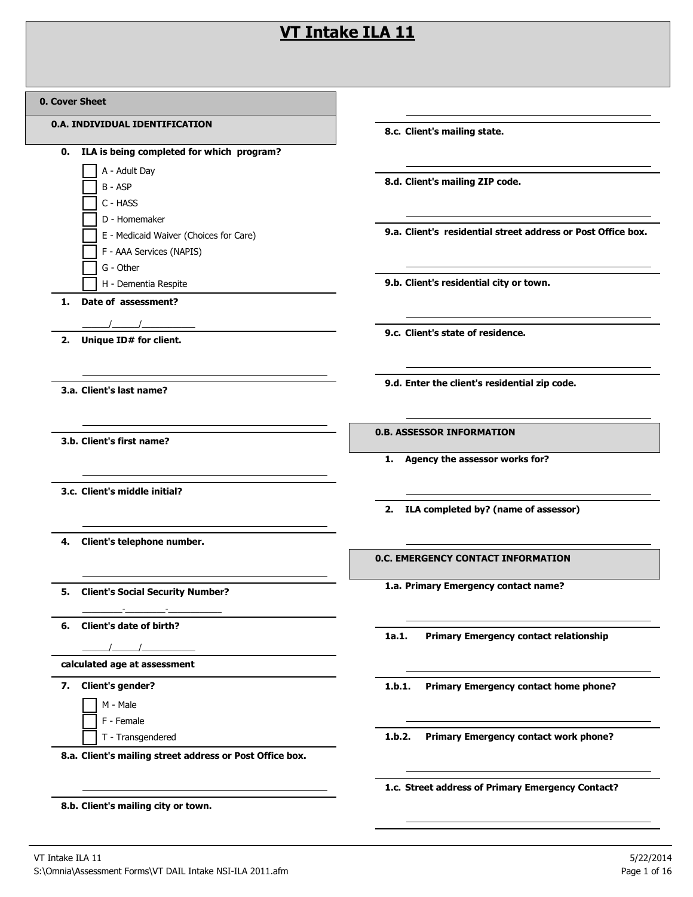## **VT Intake ILA 11**

| 0. Cover Sheet |  |
|----------------|--|
|----------------|--|

| <b>Cover Sheet</b>                                       |                                                              |
|----------------------------------------------------------|--------------------------------------------------------------|
| 0.A. INDIVIDUAL IDENTIFICATION                           | 8.c. Client's mailing state.                                 |
| ILA is being completed for which program?<br>0.          |                                                              |
| A - Adult Day                                            |                                                              |
| B - ASP                                                  | 8.d. Client's mailing ZIP code.                              |
| C - HASS                                                 |                                                              |
| D - Homemaker                                            | 9.a. Client's residential street address or Post Office box. |
| E - Medicaid Waiver (Choices for Care)                   |                                                              |
| F - AAA Services (NAPIS)<br>G - Other                    |                                                              |
| H - Dementia Respite                                     | 9.b. Client's residential city or town.                      |
| Date of assessment?<br>1.                                |                                                              |
|                                                          |                                                              |
| Unique ID# for client.<br>2.                             | 9.c. Client's state of residence.                            |
|                                                          |                                                              |
|                                                          | 9.d. Enter the client's residential zip code.                |
| 3.a. Client's last name?                                 |                                                              |
|                                                          |                                                              |
| 3.b. Client's first name?                                | <b>0.B. ASSESSOR INFORMATION</b>                             |
|                                                          | 1. Agency the assessor works for?                            |
|                                                          |                                                              |
| 3.c. Client's middle initial?                            |                                                              |
|                                                          | 2. ILA completed by? (name of assessor)                      |
|                                                          |                                                              |
| Client's telephone number.<br>4.                         |                                                              |
|                                                          | <b>0.C. EMERGENCY CONTACT INFORMATION</b>                    |
| 5. Client's Social Security Number?                      | 1.a. Primary Emergency contact name?                         |
|                                                          |                                                              |
| 6. Client's date of birth?                               |                                                              |
|                                                          | <b>Primary Emergency contact relationship</b><br>1a.1.       |
| calculated age at assessment                             |                                                              |
| 7. Client's gender?                                      | 1.b.1.<br>Primary Emergency contact home phone?              |
| M - Male                                                 |                                                              |
| F - Female                                               |                                                              |
| T - Transgendered                                        | Primary Emergency contact work phone?<br>1.b.2.              |
| 8.a. Client's mailing street address or Post Office box. |                                                              |
|                                                          | 1.c. Street address of Primary Emergency Contact?            |
|                                                          |                                                              |

**8.b. Client's mailing city or town.**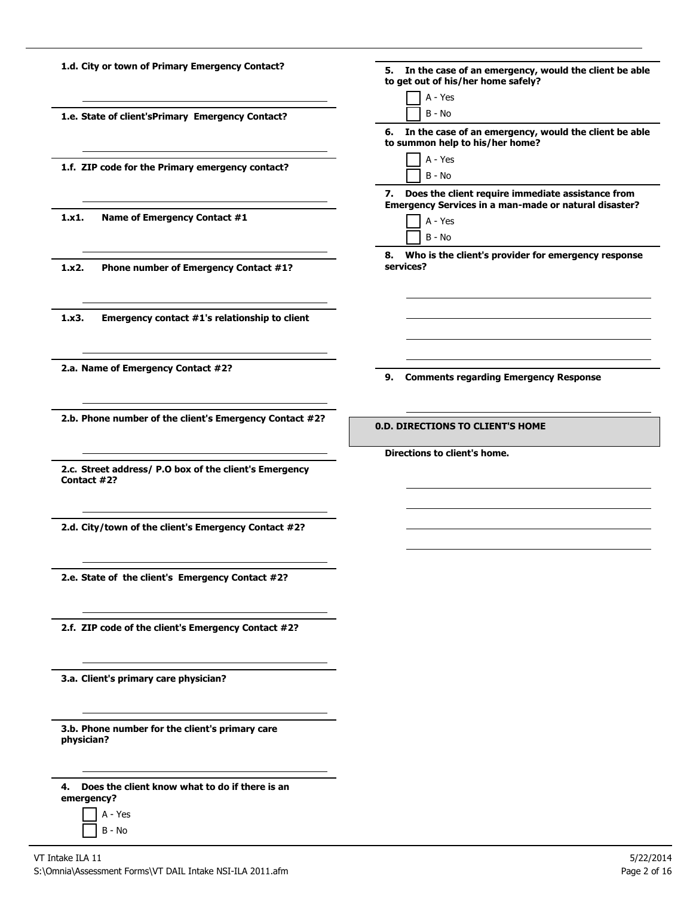| 1.d. City or town of Primary Emergency Contact?                       | 5. In the case of an emergency, would the client be able<br>to get out of his/her home safely? |
|-----------------------------------------------------------------------|------------------------------------------------------------------------------------------------|
|                                                                       | A - Yes                                                                                        |
| 1.e. State of client'sPrimary Emergency Contact?                      | $B - No$                                                                                       |
|                                                                       | 6. In the case of an emergency, would the client be able<br>to summon help to his/her home?    |
| 1.f. ZIP code for the Primary emergency contact?                      | A - Yes                                                                                        |
|                                                                       | $B - No$                                                                                       |
|                                                                       | 7. Does the client require immediate assistance from                                           |
|                                                                       | Emergency Services in a man-made or natural disaster?                                          |
| 1.x1.<br>Name of Emergency Contact #1                                 | A - Yes                                                                                        |
|                                                                       | $B - No$                                                                                       |
|                                                                       | 8. Who is the client's provider for emergency response                                         |
| 1.x2.<br>Phone number of Emergency Contact #1?                        | services?                                                                                      |
|                                                                       |                                                                                                |
|                                                                       |                                                                                                |
| 1.x3.<br>Emergency contact #1's relationship to client                |                                                                                                |
|                                                                       |                                                                                                |
|                                                                       |                                                                                                |
| 2.a. Name of Emergency Contact #2?                                    |                                                                                                |
|                                                                       | 9. Comments regarding Emergency Response                                                       |
|                                                                       |                                                                                                |
| 2.b. Phone number of the client's Emergency Contact #2?               |                                                                                                |
|                                                                       | <b>0.D. DIRECTIONS TO CLIENT'S HOME</b>                                                        |
|                                                                       |                                                                                                |
|                                                                       | Directions to client's home.                                                                   |
| 2.c. Street address/ P.O box of the client's Emergency<br>Contact #2? |                                                                                                |
|                                                                       |                                                                                                |
|                                                                       |                                                                                                |
| 2.d. City/town of the client's Emergency Contact #2?                  |                                                                                                |
|                                                                       |                                                                                                |
|                                                                       |                                                                                                |
|                                                                       |                                                                                                |
| 2.e. State of the client's Emergency Contact #2?                      |                                                                                                |
|                                                                       |                                                                                                |
|                                                                       |                                                                                                |
| 2.f. ZIP code of the client's Emergency Contact #2?                   |                                                                                                |
|                                                                       |                                                                                                |
|                                                                       |                                                                                                |
| 3.a. Client's primary care physician?                                 |                                                                                                |
|                                                                       |                                                                                                |
|                                                                       |                                                                                                |
| 3.b. Phone number for the client's primary care                       |                                                                                                |
| physician?                                                            |                                                                                                |
|                                                                       |                                                                                                |
|                                                                       |                                                                                                |
|                                                                       |                                                                                                |

**4. Does the client know what to do if there is an** 

- **emergency?** A - Yes
	- B No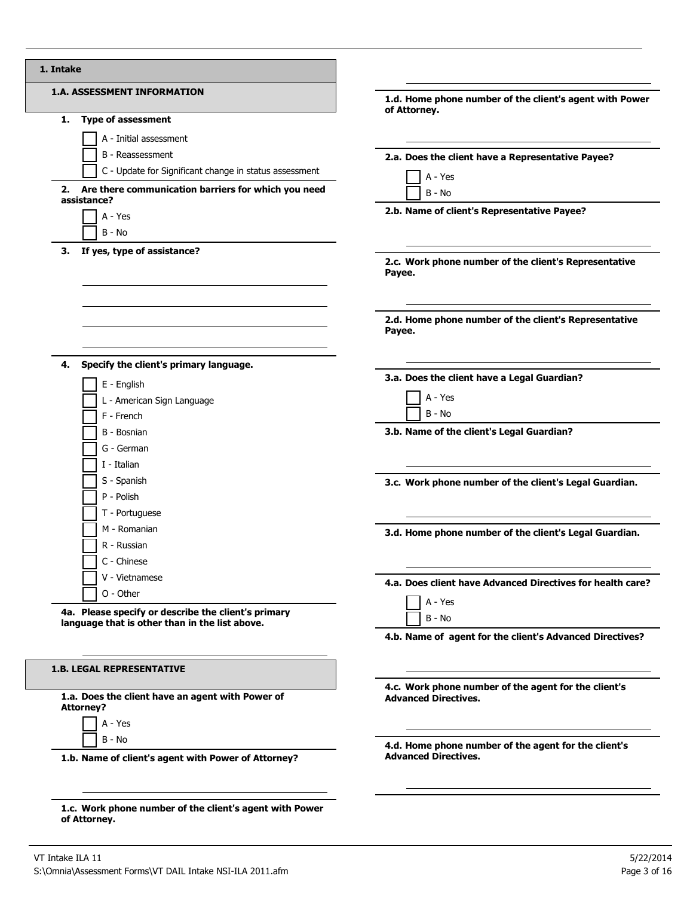| <b>1.A. ASSESSMENT INFORMATION</b>                                   | 1.d. Home phone number of the client's agent with Power<br>of Attorney. |
|----------------------------------------------------------------------|-------------------------------------------------------------------------|
| <b>Type of assessment</b><br>1.                                      |                                                                         |
| A - Initial assessment                                               |                                                                         |
| B - Reassessment                                                     | 2.a. Does the client have a Representative Payee?                       |
| C - Update for Significant change in status assessment               |                                                                         |
| 2. Are there communication barriers for which you need               | A - Yes                                                                 |
| assistance?                                                          | B - No                                                                  |
| A - Yes                                                              | 2.b. Name of client's Representative Payee?                             |
| $B - No$                                                             |                                                                         |
| If yes, type of assistance?<br>З.                                    |                                                                         |
|                                                                      | 2.c. Work phone number of the client's Representative<br>Payee.         |
|                                                                      | 2.d. Home phone number of the client's Representative<br>Payee.         |
| Specify the client's primary language.<br>4.                         | 3.a. Does the client have a Legal Guardian?                             |
| E - English                                                          |                                                                         |
| L - American Sign Language                                           | A - Yes                                                                 |
| F - French                                                           | B - No                                                                  |
| B - Bosnian                                                          | 3.b. Name of the client's Legal Guardian?                               |
| G - German                                                           |                                                                         |
| I - Italian                                                          |                                                                         |
| S - Spanish                                                          | 3.c. Work phone number of the client's Legal Guardian.                  |
| P - Polish                                                           |                                                                         |
| T - Portuguese                                                       |                                                                         |
| M - Romanian                                                         | 3.d. Home phone number of the client's Legal Guardian.                  |
| R - Russian                                                          |                                                                         |
| C - Chinese                                                          |                                                                         |
| V - Vietnamese                                                       | 4.a. Does client have Advanced Directives for health care?              |
| $O - Other$                                                          | A - Yes                                                                 |
| 4a. Please specify or describe the client's primary                  | $B - No$                                                                |
| language that is other than in the list above.                       | 4.b. Name of agent for the client's Advanced Directives?                |
| <b>1.B. LEGAL REPRESENTATIVE</b>                                     |                                                                         |
|                                                                      | 4.c. Work phone number of the agent for the client's                    |
| 1.a. Does the client have an agent with Power of<br><b>Attorney?</b> | <b>Advanced Directives.</b>                                             |
| A - Yes                                                              |                                                                         |
| B - No                                                               | 4.d. Home phone number of the agent for the client's                    |
| 1.b. Name of client's agent with Power of Attorney?                  | <b>Advanced Directives.</b>                                             |
|                                                                      |                                                                         |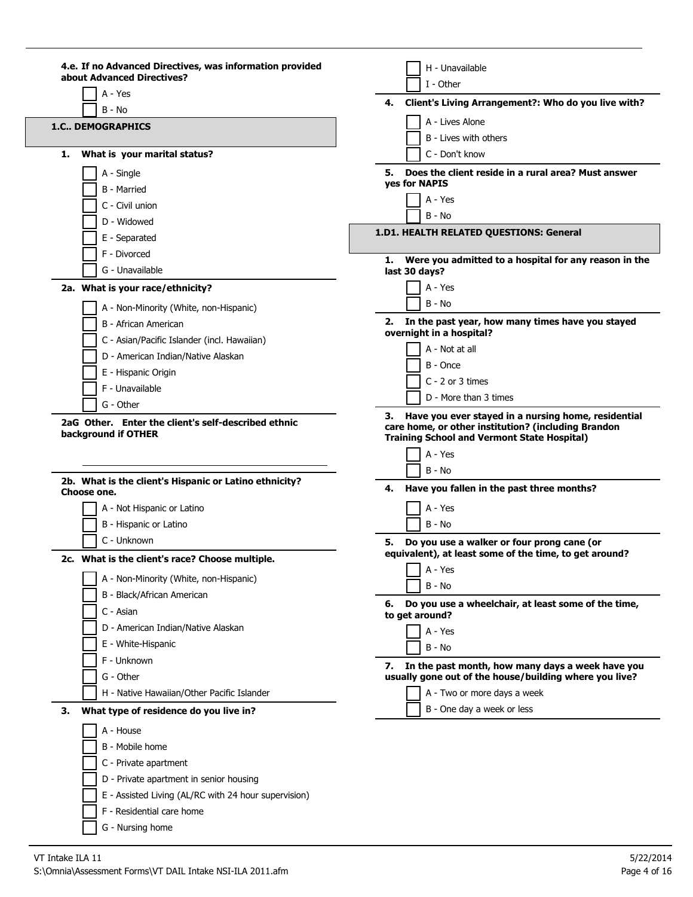| 4.e. If no Advanced Directives, was information provided<br>about Advanced Directives? | H - Unavailable                                                                                            |
|----------------------------------------------------------------------------------------|------------------------------------------------------------------------------------------------------------|
| A - Yes                                                                                | I - Other                                                                                                  |
| B - No                                                                                 | Client's Living Arrangement?: Who do you live with?<br>4.                                                  |
| <b>1.C., DEMOGRAPHICS</b>                                                              | A - Lives Alone                                                                                            |
|                                                                                        | B - Lives with others                                                                                      |
| What is your marital status?<br>1.                                                     | C - Don't know                                                                                             |
| A - Single                                                                             | 5. Does the client reside in a rural area? Must answer<br>ves for NAPIS                                    |
| <b>B</b> - Married                                                                     |                                                                                                            |
| C - Civil union                                                                        | A - Yes<br>$B - No$                                                                                        |
| D - Widowed                                                                            |                                                                                                            |
| E - Separated                                                                          | 1.D1. HEALTH RELATED QUESTIONS: General                                                                    |
| F - Divorced                                                                           | Were you admitted to a hospital for any reason in the<br>1.                                                |
| G - Unavailable                                                                        | last 30 days?                                                                                              |
| 2a. What is your race/ethnicity?                                                       | A - Yes                                                                                                    |
| A - Non-Minority (White, non-Hispanic)                                                 | B - No                                                                                                     |
| B - African American                                                                   | 2. In the past year, how many times have you stayed                                                        |
| C - Asian/Pacific Islander (incl. Hawaiian)                                            | overnight in a hospital?                                                                                   |
| D - American Indian/Native Alaskan                                                     | A - Not at all<br>B - Once                                                                                 |
| E - Hispanic Origin                                                                    | $C - 2$ or 3 times                                                                                         |
| F - Unavailable                                                                        | D - More than 3 times                                                                                      |
| G - Other                                                                              | 3. Have you ever stayed in a nursing home, residential                                                     |
| 2b. What is the client's Hispanic or Latino ethnicity?                                 | <b>Training School and Vermont State Hospital)</b><br>A - Yes<br>$B - No$                                  |
| Choose one.                                                                            | 4.<br>Have you fallen in the past three months?                                                            |
| A - Not Hispanic or Latino                                                             | A - Yes                                                                                                    |
| B - Hispanic or Latino                                                                 | $B - No$                                                                                                   |
| C - Unknown                                                                            | Do you use a walker or four prong cane (or<br>5.<br>equivalent), at least some of the time, to get around? |
| What is the client's race? Choose multiple.                                            | A - Yes                                                                                                    |
| A - Non-Minority (White, non-Hispanic)                                                 | B - No                                                                                                     |
| B - Black/African American                                                             | Do you use a wheelchair, at least some of the time,<br>6.                                                  |
| C - Asian                                                                              | to get around?                                                                                             |
| D - American Indian/Native Alaskan                                                     | A - Yes                                                                                                    |
| E - White-Hispanic                                                                     | B - No                                                                                                     |
| F - Unknown                                                                            | In the past month, how many days a week have you<br>7.                                                     |
| G - Other                                                                              | usually gone out of the house/building where you live?                                                     |
| H - Native Hawaiian/Other Pacific Islander                                             | A - Two or more days a week                                                                                |
| 3.<br>What type of residence do you live in?                                           | B - One day a week or less                                                                                 |
| A - House                                                                              |                                                                                                            |
| B - Mobile home                                                                        |                                                                                                            |
| C - Private apartment                                                                  |                                                                                                            |
| D - Private apartment in senior housing                                                |                                                                                                            |
| E - Assisted Living (AL/RC with 24 hour supervision)                                   |                                                                                                            |
| F - Residential care home                                                              |                                                                                                            |
| G - Nursing home                                                                       |                                                                                                            |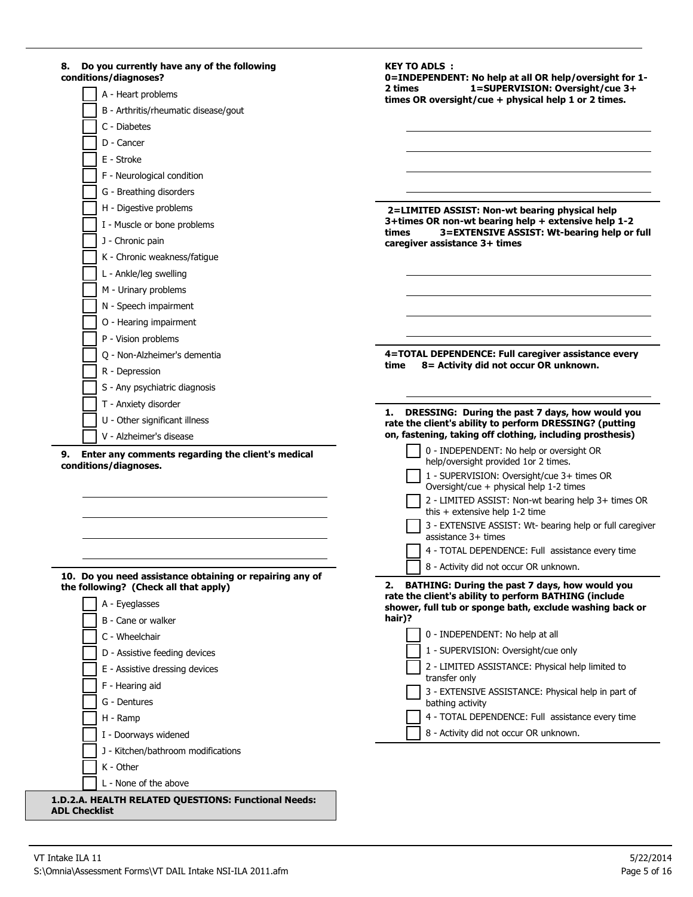| Do you currently have any of the following<br>8.<br>conditions/diagnoses?                         | <b>KEY TO ADLS:</b><br>0=INDEPENDENT: No help at all OR help/oversight for 1-                                     |
|---------------------------------------------------------------------------------------------------|-------------------------------------------------------------------------------------------------------------------|
| A - Heart problems                                                                                | 1=SUPERVISION: Oversight/cue 3+<br>2 times<br>times OR oversight/cue + physical help 1 or 2 times.                |
| B - Arthritis/rheumatic disease/gout                                                              |                                                                                                                   |
| C - Diabetes                                                                                      |                                                                                                                   |
| D - Cancer                                                                                        |                                                                                                                   |
| E - Stroke                                                                                        |                                                                                                                   |
| F - Neurological condition                                                                        |                                                                                                                   |
| G - Breathing disorders                                                                           |                                                                                                                   |
| H - Digestive problems                                                                            | 2=LIMITED ASSIST: Non-wt bearing physical help                                                                    |
| I - Muscle or bone problems                                                                       | 3+times OR non-wt bearing help + extensive help 1-2<br>3=EXTENSIVE ASSIST: Wt-bearing help or full<br>times       |
| J - Chronic pain                                                                                  | caregiver assistance 3+ times                                                                                     |
| K - Chronic weakness/fatigue                                                                      |                                                                                                                   |
| L - Ankle/leg swelling                                                                            |                                                                                                                   |
| M - Urinary problems                                                                              |                                                                                                                   |
| N - Speech impairment                                                                             |                                                                                                                   |
| O - Hearing impairment                                                                            |                                                                                                                   |
| P - Vision problems                                                                               |                                                                                                                   |
| Q - Non-Alzheimer's dementia                                                                      | 4=TOTAL DEPENDENCE: Full caregiver assistance every                                                               |
| R - Depression                                                                                    | 8 = Activity did not occur OR unknown.<br>time                                                                    |
| S - Any psychiatric diagnosis                                                                     |                                                                                                                   |
| T - Anxiety disorder                                                                              | DRESSING: During the past 7 days, how would you<br>1.                                                             |
| U - Other significant illness                                                                     | rate the client's ability to perform DRESSING? (putting                                                           |
| V - Alzheimer's disease                                                                           | on, fastening, taking off clothing, including prosthesis)                                                         |
| Enter any comments regarding the client's medical<br>9.<br>conditions/diagnoses.                  | 0 - INDEPENDENT: No help or oversight OR<br>help/oversight provided 1or 2 times.                                  |
|                                                                                                   | 1 - SUPERVISION: Oversight/cue 3+ times OR<br>Oversight/cue + physical help 1-2 times                             |
|                                                                                                   | 2 - LIMITED ASSIST: Non-wt bearing help 3+ times OR<br>this $+$ extensive help 1-2 time                           |
|                                                                                                   | 3 - EXTENSIVE ASSIST: Wt- bearing help or full caregiver<br>assistance $3+$ times                                 |
|                                                                                                   | 4 - TOTAL DEPENDENCE: Full assistance every time                                                                  |
|                                                                                                   | 8 - Activity did not occur OR unknown.                                                                            |
| 10. Do you need assistance obtaining or repairing any of<br>the following? (Check all that apply) | BATHING: During the past 7 days, how would you<br>2.                                                              |
| A - Eyeglasses                                                                                    | rate the client's ability to perform BATHING (include<br>shower, full tub or sponge bath, exclude washing back or |
| B - Cane or walker                                                                                | hair)?                                                                                                            |
| C - Wheelchair                                                                                    | 0 - INDEPENDENT: No help at all                                                                                   |
| D - Assistive feeding devices                                                                     | 1 - SUPERVISION: Oversight/cue only                                                                               |
| E - Assistive dressing devices                                                                    | 2 - LIMITED ASSISTANCE: Physical help limited to                                                                  |
| F - Hearing aid                                                                                   | transfer only                                                                                                     |
| G - Dentures                                                                                      | 3 - EXTENSIVE ASSISTANCE: Physical help in part of<br>bathing activity                                            |
| H - Ramp                                                                                          | 4 - TOTAL DEPENDENCE: Full assistance every time                                                                  |
| I - Doorways widened                                                                              | 8 - Activity did not occur OR unknown.                                                                            |
| J - Kitchen/bathroom modifications                                                                |                                                                                                                   |
| K - Other                                                                                         |                                                                                                                   |
| L - None of the above                                                                             |                                                                                                                   |
| 1.D.2.A. HEALTH RELATED QUESTIONS: Functional Needs:<br><b>ADL Checklist</b>                      |                                                                                                                   |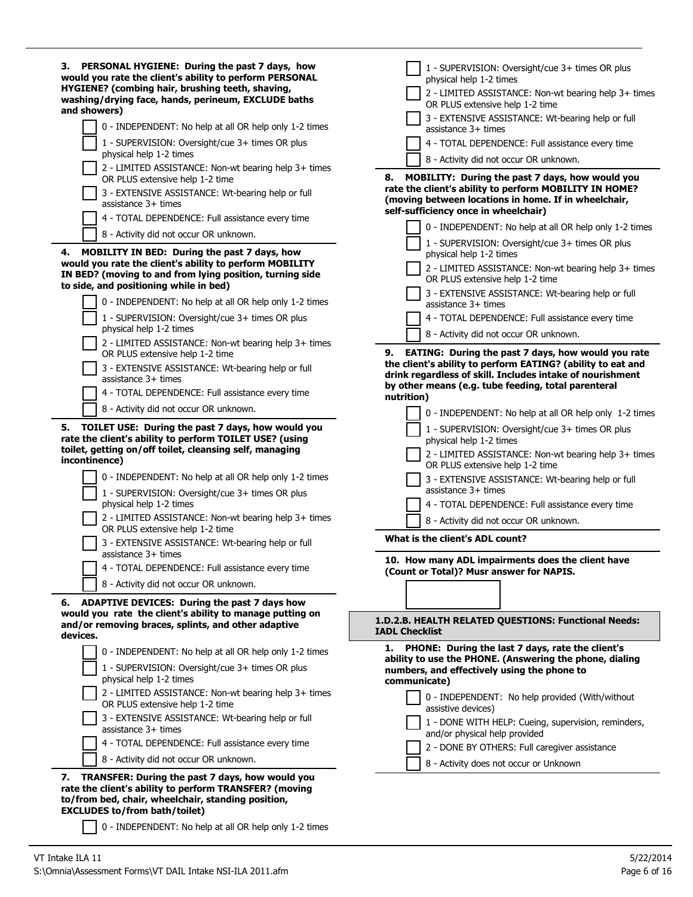| 0 - INDEPENDENT: No help at all OR help only 1-2 times<br>assistance 3+ times<br>1 - SUPERVISION: Oversight/cue 3+ times OR plus<br>4 - TOTAL DEPENDENCE: Full assistance every time<br>physical help 1-2 times<br>8 - Activity did not occur OR unknown.<br>2 - LIMITED ASSISTANCE: Non-wt bearing help 3+ times<br><b>MOBILITY: During the past 7 days, how would you</b><br>8.<br>OR PLUS extensive help 1-2 time<br>rate the client's ability to perform MOBILITY IN HOME?<br>3 - EXTENSIVE ASSISTANCE: Wt-bearing help or full<br>(moving between locations in home. If in wheelchair,<br>assistance 3+ times<br>self-sufficiency once in wheelchair)<br>4 - TOTAL DEPENDENCE: Full assistance every time<br>0 - INDEPENDENT: No help at all OR help only 1-2 times<br>8 - Activity did not occur OR unknown.<br>1 - SUPERVISION: Oversight/cue 3+ times OR plus<br>4.<br><b>MOBILITY IN BED: During the past 7 days, how</b><br>physical help 1-2 times<br>would you rate the client's ability to perform MOBILITY<br>2 - LIMITED ASSISTANCE: Non-wt bearing help 3+ times<br>IN BED? (moving to and from lying position, turning side<br>OR PLUS extensive help 1-2 time<br>to side, and positioning while in bed)<br>3 - EXTENSIVE ASSISTANCE: Wt-bearing help or full<br>0 - INDEPENDENT: No help at all OR help only 1-2 times<br>assistance $3+$ times<br>1 - SUPERVISION: Oversight/cue 3+ times OR plus<br>4 - TOTAL DEPENDENCE: Full assistance every time<br>physical help 1-2 times<br>8 - Activity did not occur OR unknown.<br>2 - LIMITED ASSISTANCE: Non-wt bearing help 3+ times<br>9. EATING: During the past 7 days, how would you rate<br>OR PLUS extensive help 1-2 time<br>the client's ability to perform EATING? (ability to eat and<br>3 - EXTENSIVE ASSISTANCE: Wt-bearing help or full<br>drink regardless of skill. Includes intake of nourishment<br>assistance $3+$ times<br>by other means (e.g. tube feeding, total parenteral<br>4 - TOTAL DEPENDENCE: Full assistance every time<br>nutrition)<br>8 - Activity did not occur OR unknown.<br>0 - INDEPENDENT: No help at all OR help only 1-2 times<br>5. TOILET USE: During the past 7 days, how would you<br>1 - SUPERVISION: Oversight/cue 3+ times OR plus<br>rate the client's ability to perform TOILET USE? (using<br>physical help 1-2 times<br>toilet, getting on/off toilet, cleansing self, managing<br>2 - LIMITED ASSISTANCE: Non-wt bearing help 3+ times<br>incontinence)<br>OR PLUS extensive help 1-2 time<br>0 - INDEPENDENT: No help at all OR help only 1-2 times<br>3 - EXTENSIVE ASSISTANCE: Wt-bearing help or full<br>assistance 3+ times<br>1 - SUPERVISION: Oversight/cue 3+ times OR plus<br>physical help 1-2 times<br>4 - TOTAL DEPENDENCE: Full assistance every time<br>2 - LIMITED ASSISTANCE: Non-wt bearing help 3+ times<br>8 - Activity did not occur OR unknown.<br>OR PLUS extensive help 1-2 time<br>What is the client's ADL count?<br>3 - EXTENSIVE ASSISTANCE: Wt-bearing help or full<br>assistance $3+$ times<br>10. How many ADL impairments does the client have<br>4 - TOTAL DEPENDENCE: Full assistance every time<br>(Count or Total)? Musr answer for NAPIS.<br>8 - Activity did not occur OR unknown.<br><b>ADAPTIVE DEVICES: During the past 7 days how</b><br>6.<br>would you rate the client's ability to manage putting on<br>1.D.2.B. HEALTH RELATED QUESTIONS: Functional Needs:<br>and/or removing braces, splints, and other adaptive<br><b>IADL Checklist</b><br>devices.<br>PHONE: During the last 7 days, rate the client's<br>1.<br>0 - INDEPENDENT: No help at all OR help only 1-2 times<br>ability to use the PHONE. (Answering the phone, dialing<br>1 - SUPERVISION: Oversight/cue 3+ times OR plus<br>numbers, and effectively using the phone to<br>physical help 1-2 times<br>communicate)<br>2 - LIMITED ASSISTANCE: Non-wt bearing help 3+ times<br>0 - INDEPENDENT: No help provided (With/without<br>OR PLUS extensive help 1-2 time<br>assistive devices)<br>3 - EXTENSIVE ASSISTANCE: Wt-bearing help or full<br>1 - DONE WITH HELP: Cueing, supervision, reminders,<br>assistance $3+$ times<br>and/or physical help provided<br>4 - TOTAL DEPENDENCE: Full assistance every time<br>2 - DONE BY OTHERS: Full caregiver assistance<br>8 - Activity did not occur OR unknown.<br>8 - Activity does not occur or Unknown<br>TRANSFER: During the past 7 days, how would you<br>7.<br>rate the client's ability to perform TRANSFER? (moving<br>to/from bed, chair, wheelchair, standing position,<br><b>EXCLUDES to/from bath/toilet)</b> | 3. PERSONAL HYGIENE: During the past 7 days, how<br>would you rate the client's ability to perform PERSONAL<br>HYGIENE? (combing hair, brushing teeth, shaving,<br>washing/drying face, hands, perineum, EXCLUDE baths<br>and showers) | 1 - SUPERVISION: Oversight/cue 3+ times OR plus<br>physical help 1-2 times<br>2 - LIMITED ASSISTANCE: Non-wt bearing help 3+ times<br>OR PLUS extensive help 1-2 time |
|------------------------------------------------------------------------------------------------------------------------------------------------------------------------------------------------------------------------------------------------------------------------------------------------------------------------------------------------------------------------------------------------------------------------------------------------------------------------------------------------------------------------------------------------------------------------------------------------------------------------------------------------------------------------------------------------------------------------------------------------------------------------------------------------------------------------------------------------------------------------------------------------------------------------------------------------------------------------------------------------------------------------------------------------------------------------------------------------------------------------------------------------------------------------------------------------------------------------------------------------------------------------------------------------------------------------------------------------------------------------------------------------------------------------------------------------------------------------------------------------------------------------------------------------------------------------------------------------------------------------------------------------------------------------------------------------------------------------------------------------------------------------------------------------------------------------------------------------------------------------------------------------------------------------------------------------------------------------------------------------------------------------------------------------------------------------------------------------------------------------------------------------------------------------------------------------------------------------------------------------------------------------------------------------------------------------------------------------------------------------------------------------------------------------------------------------------------------------------------------------------------------------------------------------------------------------------------------------------------------------------------------------------------------------------------------------------------------------------------------------------------------------------------------------------------------------------------------------------------------------------------------------------------------------------------------------------------------------------------------------------------------------------------------------------------------------------------------------------------------------------------------------------------------------------------------------------------------------------------------------------------------------------------------------------------------------------------------------------------------------------------------------------------------------------------------------------------------------------------------------------------------------------------------------------------------------------------------------------------------------------------------------------------------------------------------------------------------------------------------------------------------------------------------------------------------------------------------------------------------------------------------------------------------------------------------------------------------------------------------------------------------------------------------------------------------------------------------------------------------------------------------------------------------------------------------------------------------------------------------------------------------------------------------------------------------------------------------------------------------------------------------------------------------------------------------------------------------------------------------------------------------------------------------------------------------------------------------------------------|----------------------------------------------------------------------------------------------------------------------------------------------------------------------------------------------------------------------------------------|-----------------------------------------------------------------------------------------------------------------------------------------------------------------------|
|                                                                                                                                                                                                                                                                                                                                                                                                                                                                                                                                                                                                                                                                                                                                                                                                                                                                                                                                                                                                                                                                                                                                                                                                                                                                                                                                                                                                                                                                                                                                                                                                                                                                                                                                                                                                                                                                                                                                                                                                                                                                                                                                                                                                                                                                                                                                                                                                                                                                                                                                                                                                                                                                                                                                                                                                                                                                                                                                                                                                                                                                                                                                                                                                                                                                                                                                                                                                                                                                                                                                                                                                                                                                                                                                                                                                                                                                                                                                                                                                                                                                                                                                                                                                                                                                                                                                                                                                                                                                                                                                                                                                            |                                                                                                                                                                                                                                        | 3 - EXTENSIVE ASSISTANCE: Wt-bearing help or full                                                                                                                     |
|                                                                                                                                                                                                                                                                                                                                                                                                                                                                                                                                                                                                                                                                                                                                                                                                                                                                                                                                                                                                                                                                                                                                                                                                                                                                                                                                                                                                                                                                                                                                                                                                                                                                                                                                                                                                                                                                                                                                                                                                                                                                                                                                                                                                                                                                                                                                                                                                                                                                                                                                                                                                                                                                                                                                                                                                                                                                                                                                                                                                                                                                                                                                                                                                                                                                                                                                                                                                                                                                                                                                                                                                                                                                                                                                                                                                                                                                                                                                                                                                                                                                                                                                                                                                                                                                                                                                                                                                                                                                                                                                                                                                            |                                                                                                                                                                                                                                        |                                                                                                                                                                       |
|                                                                                                                                                                                                                                                                                                                                                                                                                                                                                                                                                                                                                                                                                                                                                                                                                                                                                                                                                                                                                                                                                                                                                                                                                                                                                                                                                                                                                                                                                                                                                                                                                                                                                                                                                                                                                                                                                                                                                                                                                                                                                                                                                                                                                                                                                                                                                                                                                                                                                                                                                                                                                                                                                                                                                                                                                                                                                                                                                                                                                                                                                                                                                                                                                                                                                                                                                                                                                                                                                                                                                                                                                                                                                                                                                                                                                                                                                                                                                                                                                                                                                                                                                                                                                                                                                                                                                                                                                                                                                                                                                                                                            |                                                                                                                                                                                                                                        |                                                                                                                                                                       |
|                                                                                                                                                                                                                                                                                                                                                                                                                                                                                                                                                                                                                                                                                                                                                                                                                                                                                                                                                                                                                                                                                                                                                                                                                                                                                                                                                                                                                                                                                                                                                                                                                                                                                                                                                                                                                                                                                                                                                                                                                                                                                                                                                                                                                                                                                                                                                                                                                                                                                                                                                                                                                                                                                                                                                                                                                                                                                                                                                                                                                                                                                                                                                                                                                                                                                                                                                                                                                                                                                                                                                                                                                                                                                                                                                                                                                                                                                                                                                                                                                                                                                                                                                                                                                                                                                                                                                                                                                                                                                                                                                                                                            |                                                                                                                                                                                                                                        |                                                                                                                                                                       |
|                                                                                                                                                                                                                                                                                                                                                                                                                                                                                                                                                                                                                                                                                                                                                                                                                                                                                                                                                                                                                                                                                                                                                                                                                                                                                                                                                                                                                                                                                                                                                                                                                                                                                                                                                                                                                                                                                                                                                                                                                                                                                                                                                                                                                                                                                                                                                                                                                                                                                                                                                                                                                                                                                                                                                                                                                                                                                                                                                                                                                                                                                                                                                                                                                                                                                                                                                                                                                                                                                                                                                                                                                                                                                                                                                                                                                                                                                                                                                                                                                                                                                                                                                                                                                                                                                                                                                                                                                                                                                                                                                                                                            |                                                                                                                                                                                                                                        |                                                                                                                                                                       |
|                                                                                                                                                                                                                                                                                                                                                                                                                                                                                                                                                                                                                                                                                                                                                                                                                                                                                                                                                                                                                                                                                                                                                                                                                                                                                                                                                                                                                                                                                                                                                                                                                                                                                                                                                                                                                                                                                                                                                                                                                                                                                                                                                                                                                                                                                                                                                                                                                                                                                                                                                                                                                                                                                                                                                                                                                                                                                                                                                                                                                                                                                                                                                                                                                                                                                                                                                                                                                                                                                                                                                                                                                                                                                                                                                                                                                                                                                                                                                                                                                                                                                                                                                                                                                                                                                                                                                                                                                                                                                                                                                                                                            |                                                                                                                                                                                                                                        |                                                                                                                                                                       |
|                                                                                                                                                                                                                                                                                                                                                                                                                                                                                                                                                                                                                                                                                                                                                                                                                                                                                                                                                                                                                                                                                                                                                                                                                                                                                                                                                                                                                                                                                                                                                                                                                                                                                                                                                                                                                                                                                                                                                                                                                                                                                                                                                                                                                                                                                                                                                                                                                                                                                                                                                                                                                                                                                                                                                                                                                                                                                                                                                                                                                                                                                                                                                                                                                                                                                                                                                                                                                                                                                                                                                                                                                                                                                                                                                                                                                                                                                                                                                                                                                                                                                                                                                                                                                                                                                                                                                                                                                                                                                                                                                                                                            |                                                                                                                                                                                                                                        |                                                                                                                                                                       |
|                                                                                                                                                                                                                                                                                                                                                                                                                                                                                                                                                                                                                                                                                                                                                                                                                                                                                                                                                                                                                                                                                                                                                                                                                                                                                                                                                                                                                                                                                                                                                                                                                                                                                                                                                                                                                                                                                                                                                                                                                                                                                                                                                                                                                                                                                                                                                                                                                                                                                                                                                                                                                                                                                                                                                                                                                                                                                                                                                                                                                                                                                                                                                                                                                                                                                                                                                                                                                                                                                                                                                                                                                                                                                                                                                                                                                                                                                                                                                                                                                                                                                                                                                                                                                                                                                                                                                                                                                                                                                                                                                                                                            |                                                                                                                                                                                                                                        |                                                                                                                                                                       |
|                                                                                                                                                                                                                                                                                                                                                                                                                                                                                                                                                                                                                                                                                                                                                                                                                                                                                                                                                                                                                                                                                                                                                                                                                                                                                                                                                                                                                                                                                                                                                                                                                                                                                                                                                                                                                                                                                                                                                                                                                                                                                                                                                                                                                                                                                                                                                                                                                                                                                                                                                                                                                                                                                                                                                                                                                                                                                                                                                                                                                                                                                                                                                                                                                                                                                                                                                                                                                                                                                                                                                                                                                                                                                                                                                                                                                                                                                                                                                                                                                                                                                                                                                                                                                                                                                                                                                                                                                                                                                                                                                                                                            |                                                                                                                                                                                                                                        |                                                                                                                                                                       |
|                                                                                                                                                                                                                                                                                                                                                                                                                                                                                                                                                                                                                                                                                                                                                                                                                                                                                                                                                                                                                                                                                                                                                                                                                                                                                                                                                                                                                                                                                                                                                                                                                                                                                                                                                                                                                                                                                                                                                                                                                                                                                                                                                                                                                                                                                                                                                                                                                                                                                                                                                                                                                                                                                                                                                                                                                                                                                                                                                                                                                                                                                                                                                                                                                                                                                                                                                                                                                                                                                                                                                                                                                                                                                                                                                                                                                                                                                                                                                                                                                                                                                                                                                                                                                                                                                                                                                                                                                                                                                                                                                                                                            |                                                                                                                                                                                                                                        |                                                                                                                                                                       |
|                                                                                                                                                                                                                                                                                                                                                                                                                                                                                                                                                                                                                                                                                                                                                                                                                                                                                                                                                                                                                                                                                                                                                                                                                                                                                                                                                                                                                                                                                                                                                                                                                                                                                                                                                                                                                                                                                                                                                                                                                                                                                                                                                                                                                                                                                                                                                                                                                                                                                                                                                                                                                                                                                                                                                                                                                                                                                                                                                                                                                                                                                                                                                                                                                                                                                                                                                                                                                                                                                                                                                                                                                                                                                                                                                                                                                                                                                                                                                                                                                                                                                                                                                                                                                                                                                                                                                                                                                                                                                                                                                                                                            |                                                                                                                                                                                                                                        |                                                                                                                                                                       |
|                                                                                                                                                                                                                                                                                                                                                                                                                                                                                                                                                                                                                                                                                                                                                                                                                                                                                                                                                                                                                                                                                                                                                                                                                                                                                                                                                                                                                                                                                                                                                                                                                                                                                                                                                                                                                                                                                                                                                                                                                                                                                                                                                                                                                                                                                                                                                                                                                                                                                                                                                                                                                                                                                                                                                                                                                                                                                                                                                                                                                                                                                                                                                                                                                                                                                                                                                                                                                                                                                                                                                                                                                                                                                                                                                                                                                                                                                                                                                                                                                                                                                                                                                                                                                                                                                                                                                                                                                                                                                                                                                                                                            |                                                                                                                                                                                                                                        |                                                                                                                                                                       |
|                                                                                                                                                                                                                                                                                                                                                                                                                                                                                                                                                                                                                                                                                                                                                                                                                                                                                                                                                                                                                                                                                                                                                                                                                                                                                                                                                                                                                                                                                                                                                                                                                                                                                                                                                                                                                                                                                                                                                                                                                                                                                                                                                                                                                                                                                                                                                                                                                                                                                                                                                                                                                                                                                                                                                                                                                                                                                                                                                                                                                                                                                                                                                                                                                                                                                                                                                                                                                                                                                                                                                                                                                                                                                                                                                                                                                                                                                                                                                                                                                                                                                                                                                                                                                                                                                                                                                                                                                                                                                                                                                                                                            |                                                                                                                                                                                                                                        |                                                                                                                                                                       |
|                                                                                                                                                                                                                                                                                                                                                                                                                                                                                                                                                                                                                                                                                                                                                                                                                                                                                                                                                                                                                                                                                                                                                                                                                                                                                                                                                                                                                                                                                                                                                                                                                                                                                                                                                                                                                                                                                                                                                                                                                                                                                                                                                                                                                                                                                                                                                                                                                                                                                                                                                                                                                                                                                                                                                                                                                                                                                                                                                                                                                                                                                                                                                                                                                                                                                                                                                                                                                                                                                                                                                                                                                                                                                                                                                                                                                                                                                                                                                                                                                                                                                                                                                                                                                                                                                                                                                                                                                                                                                                                                                                                                            |                                                                                                                                                                                                                                        |                                                                                                                                                                       |
|                                                                                                                                                                                                                                                                                                                                                                                                                                                                                                                                                                                                                                                                                                                                                                                                                                                                                                                                                                                                                                                                                                                                                                                                                                                                                                                                                                                                                                                                                                                                                                                                                                                                                                                                                                                                                                                                                                                                                                                                                                                                                                                                                                                                                                                                                                                                                                                                                                                                                                                                                                                                                                                                                                                                                                                                                                                                                                                                                                                                                                                                                                                                                                                                                                                                                                                                                                                                                                                                                                                                                                                                                                                                                                                                                                                                                                                                                                                                                                                                                                                                                                                                                                                                                                                                                                                                                                                                                                                                                                                                                                                                            |                                                                                                                                                                                                                                        |                                                                                                                                                                       |
|                                                                                                                                                                                                                                                                                                                                                                                                                                                                                                                                                                                                                                                                                                                                                                                                                                                                                                                                                                                                                                                                                                                                                                                                                                                                                                                                                                                                                                                                                                                                                                                                                                                                                                                                                                                                                                                                                                                                                                                                                                                                                                                                                                                                                                                                                                                                                                                                                                                                                                                                                                                                                                                                                                                                                                                                                                                                                                                                                                                                                                                                                                                                                                                                                                                                                                                                                                                                                                                                                                                                                                                                                                                                                                                                                                                                                                                                                                                                                                                                                                                                                                                                                                                                                                                                                                                                                                                                                                                                                                                                                                                                            |                                                                                                                                                                                                                                        |                                                                                                                                                                       |
|                                                                                                                                                                                                                                                                                                                                                                                                                                                                                                                                                                                                                                                                                                                                                                                                                                                                                                                                                                                                                                                                                                                                                                                                                                                                                                                                                                                                                                                                                                                                                                                                                                                                                                                                                                                                                                                                                                                                                                                                                                                                                                                                                                                                                                                                                                                                                                                                                                                                                                                                                                                                                                                                                                                                                                                                                                                                                                                                                                                                                                                                                                                                                                                                                                                                                                                                                                                                                                                                                                                                                                                                                                                                                                                                                                                                                                                                                                                                                                                                                                                                                                                                                                                                                                                                                                                                                                                                                                                                                                                                                                                                            |                                                                                                                                                                                                                                        |                                                                                                                                                                       |
|                                                                                                                                                                                                                                                                                                                                                                                                                                                                                                                                                                                                                                                                                                                                                                                                                                                                                                                                                                                                                                                                                                                                                                                                                                                                                                                                                                                                                                                                                                                                                                                                                                                                                                                                                                                                                                                                                                                                                                                                                                                                                                                                                                                                                                                                                                                                                                                                                                                                                                                                                                                                                                                                                                                                                                                                                                                                                                                                                                                                                                                                                                                                                                                                                                                                                                                                                                                                                                                                                                                                                                                                                                                                                                                                                                                                                                                                                                                                                                                                                                                                                                                                                                                                                                                                                                                                                                                                                                                                                                                                                                                                            |                                                                                                                                                                                                                                        |                                                                                                                                                                       |
|                                                                                                                                                                                                                                                                                                                                                                                                                                                                                                                                                                                                                                                                                                                                                                                                                                                                                                                                                                                                                                                                                                                                                                                                                                                                                                                                                                                                                                                                                                                                                                                                                                                                                                                                                                                                                                                                                                                                                                                                                                                                                                                                                                                                                                                                                                                                                                                                                                                                                                                                                                                                                                                                                                                                                                                                                                                                                                                                                                                                                                                                                                                                                                                                                                                                                                                                                                                                                                                                                                                                                                                                                                                                                                                                                                                                                                                                                                                                                                                                                                                                                                                                                                                                                                                                                                                                                                                                                                                                                                                                                                                                            |                                                                                                                                                                                                                                        |                                                                                                                                                                       |
|                                                                                                                                                                                                                                                                                                                                                                                                                                                                                                                                                                                                                                                                                                                                                                                                                                                                                                                                                                                                                                                                                                                                                                                                                                                                                                                                                                                                                                                                                                                                                                                                                                                                                                                                                                                                                                                                                                                                                                                                                                                                                                                                                                                                                                                                                                                                                                                                                                                                                                                                                                                                                                                                                                                                                                                                                                                                                                                                                                                                                                                                                                                                                                                                                                                                                                                                                                                                                                                                                                                                                                                                                                                                                                                                                                                                                                                                                                                                                                                                                                                                                                                                                                                                                                                                                                                                                                                                                                                                                                                                                                                                            |                                                                                                                                                                                                                                        |                                                                                                                                                                       |
|                                                                                                                                                                                                                                                                                                                                                                                                                                                                                                                                                                                                                                                                                                                                                                                                                                                                                                                                                                                                                                                                                                                                                                                                                                                                                                                                                                                                                                                                                                                                                                                                                                                                                                                                                                                                                                                                                                                                                                                                                                                                                                                                                                                                                                                                                                                                                                                                                                                                                                                                                                                                                                                                                                                                                                                                                                                                                                                                                                                                                                                                                                                                                                                                                                                                                                                                                                                                                                                                                                                                                                                                                                                                                                                                                                                                                                                                                                                                                                                                                                                                                                                                                                                                                                                                                                                                                                                                                                                                                                                                                                                                            |                                                                                                                                                                                                                                        |                                                                                                                                                                       |
|                                                                                                                                                                                                                                                                                                                                                                                                                                                                                                                                                                                                                                                                                                                                                                                                                                                                                                                                                                                                                                                                                                                                                                                                                                                                                                                                                                                                                                                                                                                                                                                                                                                                                                                                                                                                                                                                                                                                                                                                                                                                                                                                                                                                                                                                                                                                                                                                                                                                                                                                                                                                                                                                                                                                                                                                                                                                                                                                                                                                                                                                                                                                                                                                                                                                                                                                                                                                                                                                                                                                                                                                                                                                                                                                                                                                                                                                                                                                                                                                                                                                                                                                                                                                                                                                                                                                                                                                                                                                                                                                                                                                            |                                                                                                                                                                                                                                        |                                                                                                                                                                       |
|                                                                                                                                                                                                                                                                                                                                                                                                                                                                                                                                                                                                                                                                                                                                                                                                                                                                                                                                                                                                                                                                                                                                                                                                                                                                                                                                                                                                                                                                                                                                                                                                                                                                                                                                                                                                                                                                                                                                                                                                                                                                                                                                                                                                                                                                                                                                                                                                                                                                                                                                                                                                                                                                                                                                                                                                                                                                                                                                                                                                                                                                                                                                                                                                                                                                                                                                                                                                                                                                                                                                                                                                                                                                                                                                                                                                                                                                                                                                                                                                                                                                                                                                                                                                                                                                                                                                                                                                                                                                                                                                                                                                            |                                                                                                                                                                                                                                        |                                                                                                                                                                       |
|                                                                                                                                                                                                                                                                                                                                                                                                                                                                                                                                                                                                                                                                                                                                                                                                                                                                                                                                                                                                                                                                                                                                                                                                                                                                                                                                                                                                                                                                                                                                                                                                                                                                                                                                                                                                                                                                                                                                                                                                                                                                                                                                                                                                                                                                                                                                                                                                                                                                                                                                                                                                                                                                                                                                                                                                                                                                                                                                                                                                                                                                                                                                                                                                                                                                                                                                                                                                                                                                                                                                                                                                                                                                                                                                                                                                                                                                                                                                                                                                                                                                                                                                                                                                                                                                                                                                                                                                                                                                                                                                                                                                            |                                                                                                                                                                                                                                        |                                                                                                                                                                       |
|                                                                                                                                                                                                                                                                                                                                                                                                                                                                                                                                                                                                                                                                                                                                                                                                                                                                                                                                                                                                                                                                                                                                                                                                                                                                                                                                                                                                                                                                                                                                                                                                                                                                                                                                                                                                                                                                                                                                                                                                                                                                                                                                                                                                                                                                                                                                                                                                                                                                                                                                                                                                                                                                                                                                                                                                                                                                                                                                                                                                                                                                                                                                                                                                                                                                                                                                                                                                                                                                                                                                                                                                                                                                                                                                                                                                                                                                                                                                                                                                                                                                                                                                                                                                                                                                                                                                                                                                                                                                                                                                                                                                            |                                                                                                                                                                                                                                        |                                                                                                                                                                       |
|                                                                                                                                                                                                                                                                                                                                                                                                                                                                                                                                                                                                                                                                                                                                                                                                                                                                                                                                                                                                                                                                                                                                                                                                                                                                                                                                                                                                                                                                                                                                                                                                                                                                                                                                                                                                                                                                                                                                                                                                                                                                                                                                                                                                                                                                                                                                                                                                                                                                                                                                                                                                                                                                                                                                                                                                                                                                                                                                                                                                                                                                                                                                                                                                                                                                                                                                                                                                                                                                                                                                                                                                                                                                                                                                                                                                                                                                                                                                                                                                                                                                                                                                                                                                                                                                                                                                                                                                                                                                                                                                                                                                            |                                                                                                                                                                                                                                        |                                                                                                                                                                       |
|                                                                                                                                                                                                                                                                                                                                                                                                                                                                                                                                                                                                                                                                                                                                                                                                                                                                                                                                                                                                                                                                                                                                                                                                                                                                                                                                                                                                                                                                                                                                                                                                                                                                                                                                                                                                                                                                                                                                                                                                                                                                                                                                                                                                                                                                                                                                                                                                                                                                                                                                                                                                                                                                                                                                                                                                                                                                                                                                                                                                                                                                                                                                                                                                                                                                                                                                                                                                                                                                                                                                                                                                                                                                                                                                                                                                                                                                                                                                                                                                                                                                                                                                                                                                                                                                                                                                                                                                                                                                                                                                                                                                            |                                                                                                                                                                                                                                        |                                                                                                                                                                       |
|                                                                                                                                                                                                                                                                                                                                                                                                                                                                                                                                                                                                                                                                                                                                                                                                                                                                                                                                                                                                                                                                                                                                                                                                                                                                                                                                                                                                                                                                                                                                                                                                                                                                                                                                                                                                                                                                                                                                                                                                                                                                                                                                                                                                                                                                                                                                                                                                                                                                                                                                                                                                                                                                                                                                                                                                                                                                                                                                                                                                                                                                                                                                                                                                                                                                                                                                                                                                                                                                                                                                                                                                                                                                                                                                                                                                                                                                                                                                                                                                                                                                                                                                                                                                                                                                                                                                                                                                                                                                                                                                                                                                            |                                                                                                                                                                                                                                        |                                                                                                                                                                       |
|                                                                                                                                                                                                                                                                                                                                                                                                                                                                                                                                                                                                                                                                                                                                                                                                                                                                                                                                                                                                                                                                                                                                                                                                                                                                                                                                                                                                                                                                                                                                                                                                                                                                                                                                                                                                                                                                                                                                                                                                                                                                                                                                                                                                                                                                                                                                                                                                                                                                                                                                                                                                                                                                                                                                                                                                                                                                                                                                                                                                                                                                                                                                                                                                                                                                                                                                                                                                                                                                                                                                                                                                                                                                                                                                                                                                                                                                                                                                                                                                                                                                                                                                                                                                                                                                                                                                                                                                                                                                                                                                                                                                            |                                                                                                                                                                                                                                        |                                                                                                                                                                       |
|                                                                                                                                                                                                                                                                                                                                                                                                                                                                                                                                                                                                                                                                                                                                                                                                                                                                                                                                                                                                                                                                                                                                                                                                                                                                                                                                                                                                                                                                                                                                                                                                                                                                                                                                                                                                                                                                                                                                                                                                                                                                                                                                                                                                                                                                                                                                                                                                                                                                                                                                                                                                                                                                                                                                                                                                                                                                                                                                                                                                                                                                                                                                                                                                                                                                                                                                                                                                                                                                                                                                                                                                                                                                                                                                                                                                                                                                                                                                                                                                                                                                                                                                                                                                                                                                                                                                                                                                                                                                                                                                                                                                            |                                                                                                                                                                                                                                        |                                                                                                                                                                       |
|                                                                                                                                                                                                                                                                                                                                                                                                                                                                                                                                                                                                                                                                                                                                                                                                                                                                                                                                                                                                                                                                                                                                                                                                                                                                                                                                                                                                                                                                                                                                                                                                                                                                                                                                                                                                                                                                                                                                                                                                                                                                                                                                                                                                                                                                                                                                                                                                                                                                                                                                                                                                                                                                                                                                                                                                                                                                                                                                                                                                                                                                                                                                                                                                                                                                                                                                                                                                                                                                                                                                                                                                                                                                                                                                                                                                                                                                                                                                                                                                                                                                                                                                                                                                                                                                                                                                                                                                                                                                                                                                                                                                            |                                                                                                                                                                                                                                        |                                                                                                                                                                       |
|                                                                                                                                                                                                                                                                                                                                                                                                                                                                                                                                                                                                                                                                                                                                                                                                                                                                                                                                                                                                                                                                                                                                                                                                                                                                                                                                                                                                                                                                                                                                                                                                                                                                                                                                                                                                                                                                                                                                                                                                                                                                                                                                                                                                                                                                                                                                                                                                                                                                                                                                                                                                                                                                                                                                                                                                                                                                                                                                                                                                                                                                                                                                                                                                                                                                                                                                                                                                                                                                                                                                                                                                                                                                                                                                                                                                                                                                                                                                                                                                                                                                                                                                                                                                                                                                                                                                                                                                                                                                                                                                                                                                            | 0 - INDEPENDENT: No help at all OR help only 1-2 times                                                                                                                                                                                 |                                                                                                                                                                       |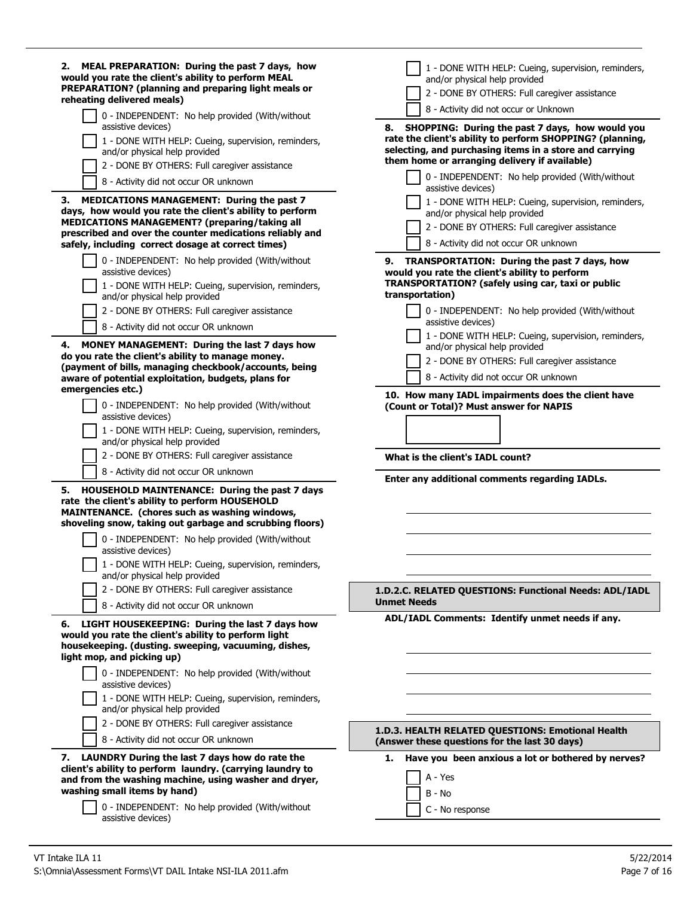| MEAL PREPARATION: During the past 7 days, how<br>2.<br>would you rate the client's ability to perform MEAL<br>PREPARATION? (planning and preparing light meals or<br>reheating delivered meals)                                                                                  | 1 - DONE WITH HELP: Cueing, supervision, reminders,<br>and/or physical help provided<br>2 - DONE BY OTHERS: Full caregiver assistance                                          |
|----------------------------------------------------------------------------------------------------------------------------------------------------------------------------------------------------------------------------------------------------------------------------------|--------------------------------------------------------------------------------------------------------------------------------------------------------------------------------|
| 0 - INDEPENDENT: No help provided (With/without<br>assistive devices)                                                                                                                                                                                                            | 8 - Activity did not occur or Unknown<br>SHOPPING: During the past 7 days, how would you<br>8.                                                                                 |
| 1 - DONE WITH HELP: Cueing, supervision, reminders,<br>and/or physical help provided                                                                                                                                                                                             | rate the client's ability to perform SHOPPING? (planning,<br>selecting, and purchasing items in a store and carrying<br>them home or arranging delivery if available)          |
| 2 - DONE BY OTHERS: Full caregiver assistance                                                                                                                                                                                                                                    | 0 - INDEPENDENT: No help provided (With/without                                                                                                                                |
| 8 - Activity did not occur OR unknown                                                                                                                                                                                                                                            | assistive devices)                                                                                                                                                             |
| 3. MEDICATIONS MANAGEMENT: During the past 7<br>days, how would you rate the client's ability to perform<br>MEDICATIONS MANAGEMENT? (preparing/taking all<br>prescribed and over the counter medications reliably and<br>safely, including correct dosage at correct times)      | 1 - DONE WITH HELP: Cueing, supervision, reminders,<br>and/or physical help provided<br>2 - DONE BY OTHERS: Full caregiver assistance<br>8 - Activity did not occur OR unknown |
| 0 - INDEPENDENT: No help provided (With/without<br>assistive devices)                                                                                                                                                                                                            | TRANSPORTATION: During the past 7 days, how<br>9.<br>would you rate the client's ability to perform                                                                            |
| 1 - DONE WITH HELP: Cueing, supervision, reminders,<br>and/or physical help provided                                                                                                                                                                                             | TRANSPORTATION? (safely using car, taxi or public<br>transportation)                                                                                                           |
| 2 - DONE BY OTHERS: Full caregiver assistance                                                                                                                                                                                                                                    | 0 - INDEPENDENT: No help provided (With/without                                                                                                                                |
| 8 - Activity did not occur OR unknown                                                                                                                                                                                                                                            | assistive devices)<br>1 - DONE WITH HELP: Cueing, supervision, reminders,                                                                                                      |
| MONEY MANAGEMENT: During the last 7 days how<br>4.<br>do you rate the client's ability to manage money.<br>(payment of bills, managing checkbook/accounts, being<br>aware of potential exploitation, budgets, plans for<br>emergencies etc.)                                     | and/or physical help provided<br>2 - DONE BY OTHERS: Full caregiver assistance<br>8 - Activity did not occur OR unknown                                                        |
| 0 - INDEPENDENT: No help provided (With/without<br>assistive devices)                                                                                                                                                                                                            | 10. How many IADL impairments does the client have<br>(Count or Total)? Must answer for NAPIS                                                                                  |
| 1 - DONE WITH HELP: Cueing, supervision, reminders,<br>and/or physical help provided                                                                                                                                                                                             |                                                                                                                                                                                |
| 2 - DONE BY OTHERS: Full caregiver assistance                                                                                                                                                                                                                                    | What is the client's IADL count?                                                                                                                                               |
| 8 - Activity did not occur OR unknown                                                                                                                                                                                                                                            | Enter any additional comments regarding IADLs.                                                                                                                                 |
| HOUSEHOLD MAINTENANCE: During the past 7 days<br>5.<br>rate the client's ability to perform HOUSEHOLD<br>MAINTENANCE. (chores such as washing windows,<br>shoveling snow, taking out garbage and scrubbing floors)                                                               |                                                                                                                                                                                |
| 0 - INDEPENDENT: No help provided (With/without<br>assistive devices)                                                                                                                                                                                                            |                                                                                                                                                                                |
| 1 - DONE WITH HELP: Cueing, supervision, reminders,<br>and/or physical help provided                                                                                                                                                                                             |                                                                                                                                                                                |
| 2 - DONE BY OTHERS: Full caregiver assistance                                                                                                                                                                                                                                    | 1.D.2.C. RELATED QUESTIONS: Functional Needs: ADL/IADL                                                                                                                         |
| 8 - Activity did not occur OR unknown                                                                                                                                                                                                                                            | <b>Unmet Needs</b>                                                                                                                                                             |
| LIGHT HOUSEKEEPING: During the last 7 days how<br>6.<br>would you rate the client's ability to perform light<br>housekeeping. (dusting. sweeping, vacuuming, dishes,<br>light mop, and picking up)                                                                               | ADL/IADL Comments: Identify unmet needs if any.                                                                                                                                |
| 0 - INDEPENDENT: No help provided (With/without<br>assistive devices)                                                                                                                                                                                                            |                                                                                                                                                                                |
| 1 - DONE WITH HELP: Cueing, supervision, reminders,<br>and/or physical help provided                                                                                                                                                                                             |                                                                                                                                                                                |
| 2 - DONE BY OTHERS: Full caregiver assistance<br>8 - Activity did not occur OR unknown                                                                                                                                                                                           | 1.D.3. HEALTH RELATED QUESTIONS: Emotional Health<br>(Answer these questions for the last 30 days)                                                                             |
| 7. LAUNDRY During the last 7 days how do rate the<br>client's ability to perform laundry. (carrying laundry to<br>and from the washing machine, using washer and dryer,<br>washing small items by hand)<br>0 - INDEPENDENT: No help provided (With/without<br>assistive devices) | Have you been anxious a lot or bothered by nerves?<br>1.<br>A - Yes<br>B - No<br>C - No response                                                                               |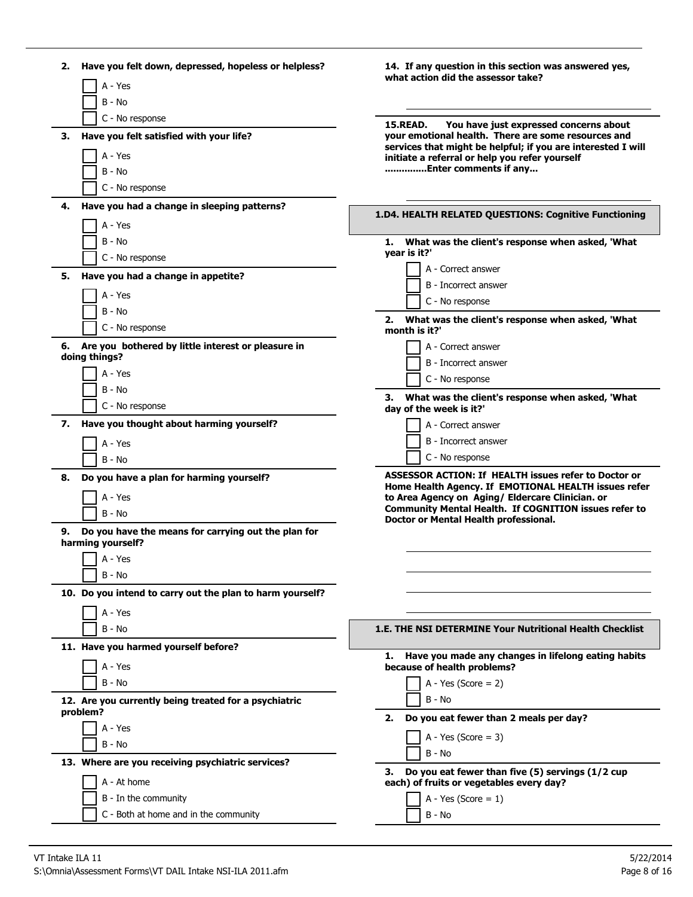| Have you felt down, depressed, hopeless or helpless?<br>2.                     | 14. If any question in this section was answered yes,                                                            |
|--------------------------------------------------------------------------------|------------------------------------------------------------------------------------------------------------------|
| A - Yes                                                                        | what action did the assessor take?                                                                               |
| B - No                                                                         |                                                                                                                  |
| C - No response                                                                | <b>15.READ.</b><br>You have just expressed concerns about                                                        |
| Have you felt satisfied with your life?<br>З.                                  | your emotional health. There are some resources and                                                              |
| A - Yes                                                                        | services that might be helpful; if you are interested I will<br>initiate a referral or help you refer yourself   |
| B - No                                                                         | Enter comments if any                                                                                            |
| C - No response                                                                |                                                                                                                  |
| Have you had a change in sleeping patterns?<br>4.                              |                                                                                                                  |
| A - Yes                                                                        | 1.D4. HEALTH RELATED QUESTIONS: Cognitive Functioning                                                            |
| B - No                                                                         | What was the client's response when asked, 'What<br>1.                                                           |
| C - No response                                                                | year is it?'                                                                                                     |
| Have you had a change in appetite?<br>5.                                       | A - Correct answer                                                                                               |
|                                                                                | B - Incorrect answer                                                                                             |
| A - Yes                                                                        | C - No response                                                                                                  |
| $B - No$                                                                       | What was the client's response when asked, 'What<br>2.                                                           |
| C - No response                                                                | month is it?'                                                                                                    |
| 6. Are you bothered by little interest or pleasure in<br>doing things?         | A - Correct answer                                                                                               |
| A - Yes                                                                        | B - Incorrect answer                                                                                             |
| B - No                                                                         | C - No response                                                                                                  |
| C - No response                                                                | What was the client's response when asked, 'What<br>3.<br>day of the week is it?'                                |
| Have you thought about harming yourself?<br>7.                                 | A - Correct answer                                                                                               |
| A - Yes                                                                        | B - Incorrect answer                                                                                             |
| $B - No$                                                                       | C - No response                                                                                                  |
| Do you have a plan for harming yourself?<br>8.                                 | <b>ASSESSOR ACTION: If HEALTH issues refer to Doctor or</b>                                                      |
|                                                                                | Home Health Agency. If EMOTIONAL HEALTH issues refer                                                             |
| A - Yes                                                                        | to Area Agency on Aging/ Eldercare Clinician. or<br><b>Community Mental Health. If COGNITION issues refer to</b> |
| B - No                                                                         | Doctor or Mental Health professional.                                                                            |
| Do you have the means for carrying out the plan for<br>9.<br>harming yourself? |                                                                                                                  |
| A - Yes                                                                        |                                                                                                                  |
| B - No                                                                         |                                                                                                                  |
| 10. Do you intend to carry out the plan to harm yourself?                      |                                                                                                                  |
|                                                                                |                                                                                                                  |
| A - Yes                                                                        |                                                                                                                  |
| $B - No$                                                                       | 1.E. THE NSI DETERMINE Your Nutritional Health Checklist                                                         |
| 11. Have you harmed yourself before?                                           | Have you made any changes in lifelong eating habits<br>1.                                                        |
| A - Yes                                                                        | because of health problems?                                                                                      |
| $B - No$                                                                       | A - Yes (Score = $2$ )                                                                                           |
| 12. Are you currently being treated for a psychiatric                          | $B - No$                                                                                                         |
| problem?                                                                       | Do you eat fewer than 2 meals per day?<br>2.                                                                     |
| A - Yes                                                                        | A - Yes (Score = $3$ )                                                                                           |
| B - No                                                                         | $B - No$                                                                                                         |
| 13. Where are you receiving psychiatric services?                              | Do you eat fewer than five (5) servings (1/2 cup<br>З.                                                           |
| A - At home                                                                    | each) of fruits or vegetables every day?                                                                         |
| B - In the community                                                           | A - Yes (Score = $1$ )                                                                                           |
| C - Both at home and in the community                                          | B - No                                                                                                           |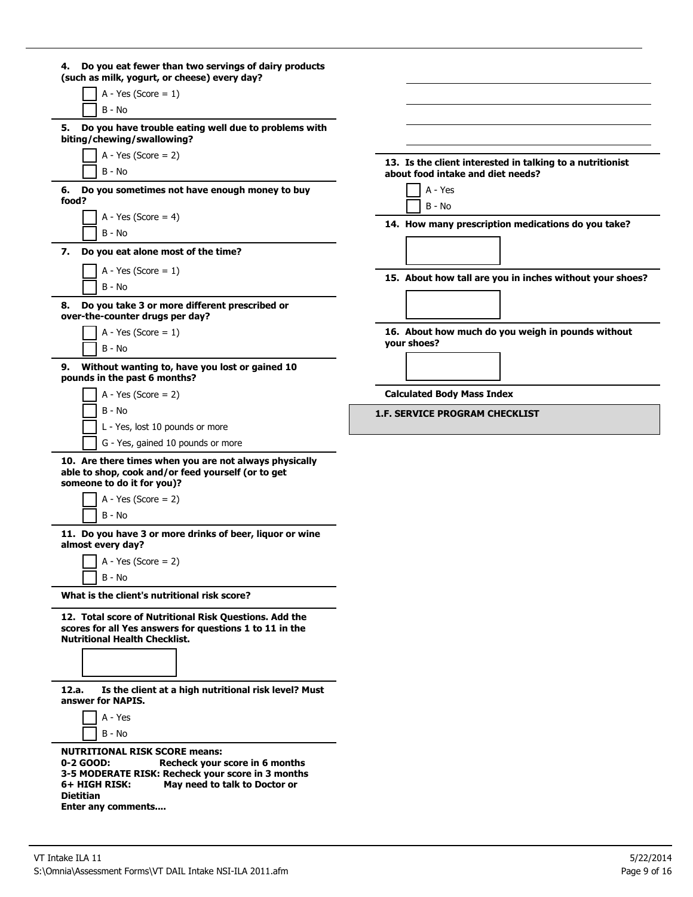| 4. Do you eat fewer than two servings of dairy products<br>(such as milk, yogurt, or cheese) every day?                                                                                    |                                                                                                |
|--------------------------------------------------------------------------------------------------------------------------------------------------------------------------------------------|------------------------------------------------------------------------------------------------|
| A - Yes (Score = $1$ )                                                                                                                                                                     |                                                                                                |
| B - No                                                                                                                                                                                     |                                                                                                |
| Do you have trouble eating well due to problems with<br>5.<br>biting/chewing/swallowing?                                                                                                   |                                                                                                |
| $A - Yes (Score = 2)$<br>B - No                                                                                                                                                            | 13. Is the client interested in talking to a nutritionist<br>about food intake and diet needs? |
| 6. Do you sometimes not have enough money to buy<br>food?                                                                                                                                  | A - Yes<br>$B - No$                                                                            |
| A - Yes (Score = $4$ )<br>B - No                                                                                                                                                           | 14. How many prescription medications do you take?                                             |
| Do you eat alone most of the time?<br>7.                                                                                                                                                   |                                                                                                |
| A - Yes (Score = $1$ )<br>B - No                                                                                                                                                           | 15. About how tall are you in inches without your shoes?                                       |
| Do you take 3 or more different prescribed or<br>8.<br>over-the-counter drugs per day?                                                                                                     |                                                                                                |
| A - Yes (Score = $1$ )<br>B - No                                                                                                                                                           | 16. About how much do you weigh in pounds without<br>vour shoes?                               |
| Without wanting to, have you lost or gained 10<br>9.<br>pounds in the past 6 months?                                                                                                       |                                                                                                |
| $A - Yes$ (Score = 2)                                                                                                                                                                      | <b>Calculated Body Mass Index</b>                                                              |
| B - No                                                                                                                                                                                     | <b>1.F. SERVICE PROGRAM CHECKLIST</b>                                                          |
| L - Yes, lost 10 pounds or more                                                                                                                                                            |                                                                                                |
| G - Yes, gained 10 pounds or more                                                                                                                                                          |                                                                                                |
| 10. Are there times when you are not always physically<br>able to shop, cook and/or feed yourself (or to get<br>someone to do it for you)?                                                 |                                                                                                |
| A - Yes (Score = $2$ )                                                                                                                                                                     |                                                                                                |
| $B - No$                                                                                                                                                                                   |                                                                                                |
| 11. Do you have 3 or more drinks of beer, liquor or wine<br>almost every day?                                                                                                              |                                                                                                |
| $A - Yes (Score = 2)$                                                                                                                                                                      |                                                                                                |
| B - No                                                                                                                                                                                     |                                                                                                |
| What is the client's nutritional risk score?                                                                                                                                               |                                                                                                |
| 12. Total score of Nutritional Risk Questions. Add the<br>scores for all Yes answers for questions 1 to 11 in the<br><b>Nutritional Health Checklist.</b>                                  |                                                                                                |
| Is the client at a high nutritional risk level? Must<br>12.a.                                                                                                                              |                                                                                                |
| answer for NAPIS.                                                                                                                                                                          |                                                                                                |
| A - Yes<br>B - No                                                                                                                                                                          |                                                                                                |
| <b>NUTRITIONAL RISK SCORE means:</b><br>0-2 GOOD:<br>Recheck your score in 6 months<br>3-5 MODERATE RISK: Recheck your score in 3 months<br>6+ HIGH RISK:<br>May need to talk to Doctor or |                                                                                                |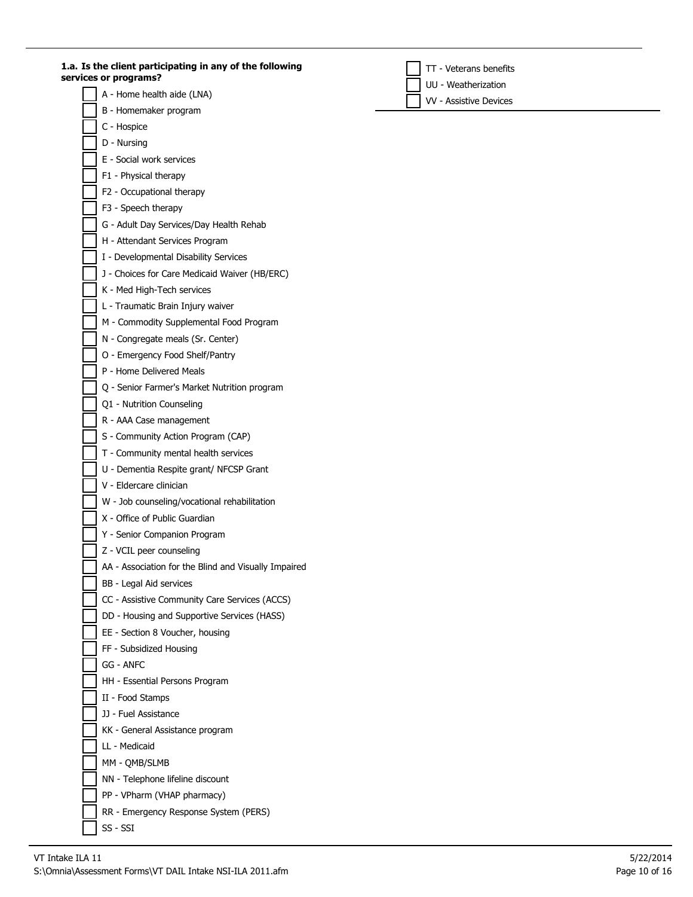**1.a. Is the client participating in any of the following services or programs?**

- A Home health aide (LNA)
- B Homemaker program
- C Hospice
- D Nursing
- E Social work services
- F1 Physical therapy
- F2 Occupational therapy
- F3 Speech therapy
- G Adult Day Services/Day Health Rehab
- H Attendant Services Program
- I Developmental Disability Services
- J Choices for Care Medicaid Waiver (HB/ERC)
- K Med High-Tech services
- L Traumatic Brain Injury waiver
- M Commodity Supplemental Food Program
- N Congregate meals (Sr. Center)
- O Emergency Food Shelf/Pantry
- P Home Delivered Meals
- Q Senior Farmer's Market Nutrition program
- Q1 Nutrition Counseling
- R AAA Case management
- S Community Action Program (CAP)
- T Community mental health services
- U Dementia Respite grant/ NFCSP Grant
- V Eldercare clinician
- W Job counseling/vocational rehabilitation
- X Office of Public Guardian
- Y Senior Companion Program
- Z VCIL peer counseling
- AA Association for the Blind and Visually Impaired
- BB Legal Aid services
- CC Assistive Community Care Services (ACCS)
- DD Housing and Supportive Services (HASS)
- EE Section 8 Voucher, housing
- FF Subsidized Housing
- GG ANFC
- HH Essential Persons Program
- II Food Stamps
- JJ Fuel Assistance
- KK General Assistance program
- LL Medicaid
- MM QMB/SLMB
- NN Telephone lifeline discount
- PP VPharm (VHAP pharmacy)
- RR Emergency Response System (PERS)
- 

SS - SSI

TT - Veterans benefits

UU - Weatherization

VV - Assistive Devices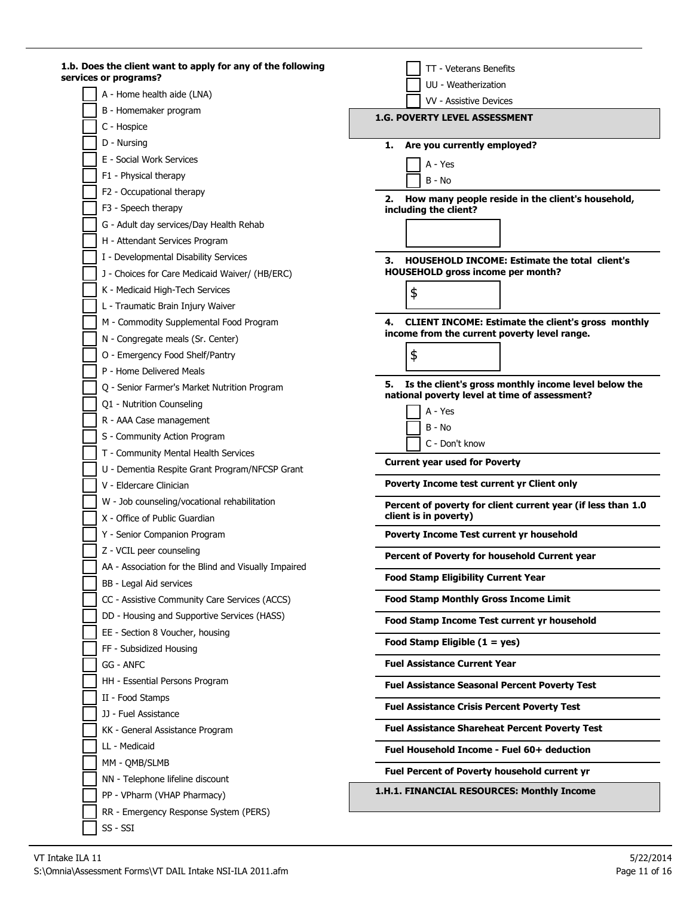| 1.b. Does the client want to apply for any of the following<br>services or programs? | TT - Veterans Benefits                                                                                      |
|--------------------------------------------------------------------------------------|-------------------------------------------------------------------------------------------------------------|
| A - Home health aide (LNA)                                                           | UU - Weatherization                                                                                         |
| B - Homemaker program                                                                | VV - Assistive Devices                                                                                      |
| C - Hospice                                                                          | <b>1.G. POVERTY LEVEL ASSESSMENT</b>                                                                        |
| D - Nursing                                                                          | 1.                                                                                                          |
| E - Social Work Services                                                             | Are you currently employed?                                                                                 |
| F1 - Physical therapy                                                                | A - Yes                                                                                                     |
| F2 - Occupational therapy                                                            | $B - No$                                                                                                    |
| F3 - Speech therapy                                                                  | 2. How many people reside in the client's household,                                                        |
|                                                                                      | including the client?                                                                                       |
| G - Adult day services/Day Health Rehab                                              |                                                                                                             |
| H - Attendant Services Program                                                       |                                                                                                             |
| I - Developmental Disability Services                                                | <b>HOUSEHOLD INCOME: Estimate the total client's</b><br>З.                                                  |
| J - Choices for Care Medicaid Waiver/ (HB/ERC)                                       | <b>HOUSEHOLD gross income per month?</b>                                                                    |
| K - Medicaid High-Tech Services                                                      | \$                                                                                                          |
| L - Traumatic Brain Injury Waiver                                                    |                                                                                                             |
| M - Commodity Supplemental Food Program                                              | 4. CLIENT INCOME: Estimate the client's gross monthly<br>income from the current poverty level range.       |
| N - Congregate meals (Sr. Center)                                                    |                                                                                                             |
| O - Emergency Food Shelf/Pantry                                                      | \$                                                                                                          |
| P - Home Delivered Meals                                                             |                                                                                                             |
| Q - Senior Farmer's Market Nutrition Program                                         | Is the client's gross monthly income level below the<br>5.<br>national poverty level at time of assessment? |
| Q1 - Nutrition Counseling                                                            | A - Yes                                                                                                     |
| R - AAA Case management                                                              | $B - No$                                                                                                    |
| S - Community Action Program                                                         | C - Don't know                                                                                              |
| T - Community Mental Health Services                                                 |                                                                                                             |
| U - Dementia Respite Grant Program/NFCSP Grant                                       | <b>Current year used for Poverty</b>                                                                        |
| V - Eldercare Clinician                                                              | Poverty Income test current yr Client only                                                                  |
| W - Job counseling/vocational rehabilitation                                         | Percent of poverty for client current year (if less than 1.0                                                |
| X - Office of Public Guardian                                                        | client is in poverty)                                                                                       |
| Y - Senior Companion Program                                                         | Poverty Income Test current yr household                                                                    |
| Z - VCIL peer counseling                                                             | Percent of Poverty for household Current year                                                               |
| AA - Association for the Blind and Visually Impaired                                 |                                                                                                             |
| BB - Legal Aid services                                                              | <b>Food Stamp Eligibility Current Year</b>                                                                  |
| CC - Assistive Community Care Services (ACCS)                                        | <b>Food Stamp Monthly Gross Income Limit</b>                                                                |
| DD - Housing and Supportive Services (HASS)                                          | Food Stamp Income Test current yr household                                                                 |
| EE - Section 8 Voucher, housing                                                      | Food Stamp Eligible $(1 = yes)$                                                                             |
| FF - Subsidized Housing                                                              |                                                                                                             |
| <b>GG - ANFC</b>                                                                     | <b>Fuel Assistance Current Year</b>                                                                         |
| HH - Essential Persons Program                                                       | <b>Fuel Assistance Seasonal Percent Poverty Test</b>                                                        |
| II - Food Stamps                                                                     | <b>Fuel Assistance Crisis Percent Poverty Test</b>                                                          |
| JJ - Fuel Assistance                                                                 |                                                                                                             |
| KK - General Assistance Program                                                      | <b>Fuel Assistance Shareheat Percent Poverty Test</b>                                                       |
| LL - Medicaid                                                                        | Fuel Household Income - Fuel 60+ deduction                                                                  |
| MM - QMB/SLMB                                                                        | <b>Fuel Percent of Poverty household current yr</b>                                                         |
| NN - Telephone lifeline discount                                                     |                                                                                                             |
| PP - VPharm (VHAP Pharmacy)                                                          | 1.H.1. FINANCIAL RESOURCES: Monthly Income                                                                  |
| RR - Emergency Response System (PERS)                                                |                                                                                                             |
| SS - SSI                                                                             |                                                                                                             |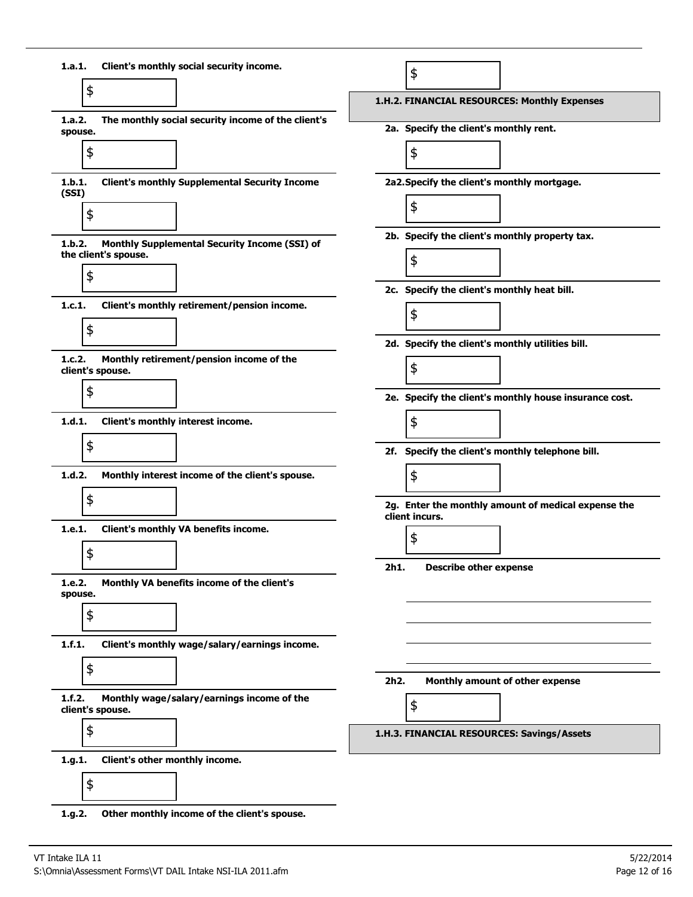

**1.g.2. Other monthly income of the client's spouse.**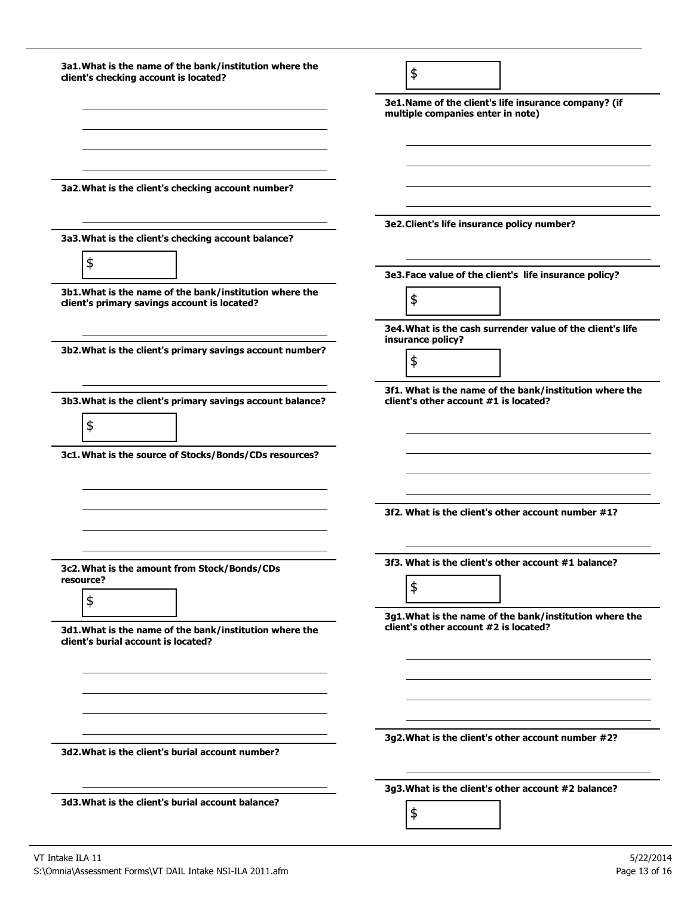| 3a1. What is the name of the bank/institution where the<br>client's checking account is located?        | \$                                                                                               |
|---------------------------------------------------------------------------------------------------------|--------------------------------------------------------------------------------------------------|
|                                                                                                         | 3e1. Name of the client's life insurance company? (if<br>multiple companies enter in note)       |
|                                                                                                         |                                                                                                  |
| 3a2. What is the client's checking account number?                                                      |                                                                                                  |
| 3a3. What is the client's checking account balance?                                                     | 3e2. Client's life insurance policy number?                                                      |
| \$                                                                                                      | 3e3. Face value of the client's life insurance policy?                                           |
| 3b1. What is the name of the bank/institution where the<br>client's primary savings account is located? | \$                                                                                               |
| 3b2. What is the client's primary savings account number?                                               | 3e4. What is the cash surrender value of the client's life<br>insurance policy?                  |
|                                                                                                         | \$                                                                                               |
| 3b3. What is the client's primary savings account balance?                                              | 3f1. What is the name of the bank/institution where the<br>client's other account #1 is located? |
| \$                                                                                                      |                                                                                                  |
| 3c1. What is the source of Stocks/Bonds/CDs resources?                                                  |                                                                                                  |
|                                                                                                         | 3f2. What is the client's other account number #1?                                               |
| 3c2. What is the amount from Stock/Bonds/CDs                                                            | 3f3. What is the client's other account #1 balance?                                              |
| resource?<br>\$                                                                                         | \$                                                                                               |
| 3d1. What is the name of the bank/institution where the<br>client's burial account is located?          | 3g1. What is the name of the bank/institution where the<br>client's other account #2 is located? |
|                                                                                                         |                                                                                                  |
|                                                                                                         |                                                                                                  |
| 3d2. What is the client's burial account number?                                                        | 3g2. What is the client's other account number #2?                                               |
|                                                                                                         |                                                                                                  |
|                                                                                                         | 3g3. What is the client's other account #2 balance?                                              |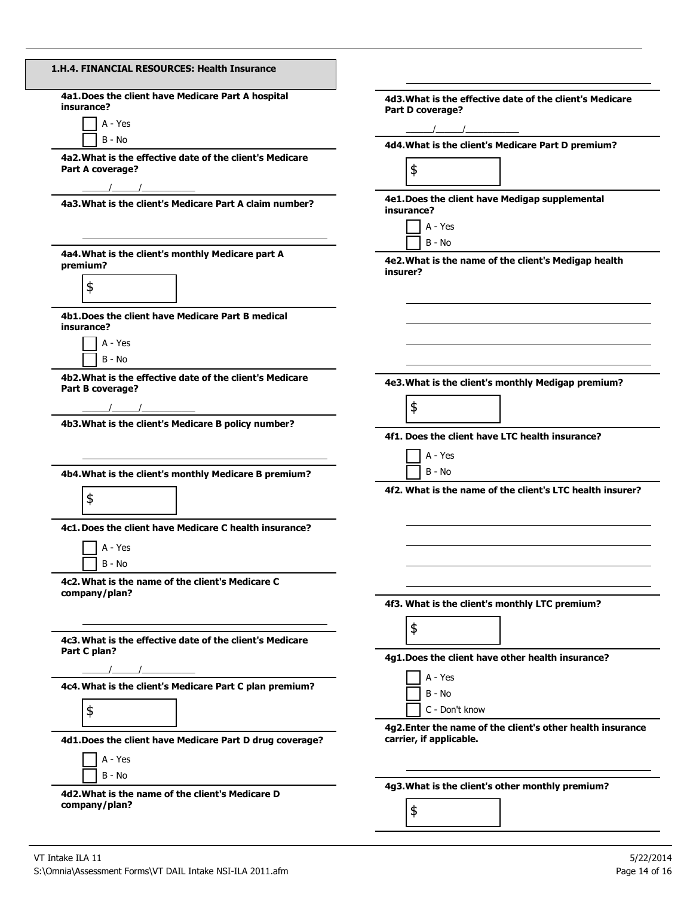| 1.H.4. FINANCIAL RESOURCES: Health Insurance                                                                                                                                                                                                                                                                                                                                                                                                                                 |                                                                                                                                                                                                                                                                                                                                                                        |
|------------------------------------------------------------------------------------------------------------------------------------------------------------------------------------------------------------------------------------------------------------------------------------------------------------------------------------------------------------------------------------------------------------------------------------------------------------------------------|------------------------------------------------------------------------------------------------------------------------------------------------------------------------------------------------------------------------------------------------------------------------------------------------------------------------------------------------------------------------|
| 4a1. Does the client have Medicare Part A hospital<br>insurance?<br>A - Yes<br>$B - No$                                                                                                                                                                                                                                                                                                                                                                                      | 4d3. What is the effective date of the client's Medicare<br>Part D coverage?<br>$\frac{1}{2}$ . The set of the set of the set of the set of the set of the set of the set of the set of the set of the set of the set of the set of the set of the set of the set of the set of the set of the set of the set of<br>4d4. What is the client's Medicare Part D premium? |
| 4a2. What is the effective date of the client's Medicare<br>Part A coverage?                                                                                                                                                                                                                                                                                                                                                                                                 | \$                                                                                                                                                                                                                                                                                                                                                                     |
| 4a3. What is the client's Medicare Part A claim number?                                                                                                                                                                                                                                                                                                                                                                                                                      | 4e1. Does the client have Medigap supplemental<br>insurance?<br>A - Yes                                                                                                                                                                                                                                                                                                |
| 4a4. What is the client's monthly Medicare part A<br>premium?<br>\$                                                                                                                                                                                                                                                                                                                                                                                                          | $B - No$<br>4e2. What is the name of the client's Medigap health<br>insurer?                                                                                                                                                                                                                                                                                           |
| 4b1. Does the client have Medicare Part B medical<br>insurance?<br>A - Yes<br>$B - No$                                                                                                                                                                                                                                                                                                                                                                                       |                                                                                                                                                                                                                                                                                                                                                                        |
| 4b2. What is the effective date of the client's Medicare<br>Part B coverage?<br>$\frac{1}{\sqrt{1-\frac{1}{2}-\frac{1}{2}-\frac{1}{2}-\frac{1}{2}-\frac{1}{2}-\frac{1}{2}-\frac{1}{2}-\frac{1}{2}-\frac{1}{2}-\frac{1}{2}-\frac{1}{2}-\frac{1}{2}-\frac{1}{2}-\frac{1}{2}-\frac{1}{2}-\frac{1}{2}-\frac{1}{2}-\frac{1}{2}-\frac{1}{2}-\frac{1}{2}-\frac{1}{2}-\frac{1}{2}-\frac{1}{2}-\frac{1}{2}-\frac{1}{2}-\frac{1}{2}-\frac{1}{2}-\frac{1}{2}-\frac{1}{2}-\frac{1}{2}-\$ | 4e3. What is the client's monthly Medigap premium?<br>\$                                                                                                                                                                                                                                                                                                               |
| 4b3. What is the client's Medicare B policy number?<br>4b4. What is the client's monthly Medicare B premium?                                                                                                                                                                                                                                                                                                                                                                 | 4f1. Does the client have LTC health insurance?<br>A - Yes<br>B - No                                                                                                                                                                                                                                                                                                   |
| \$<br>4c1. Does the client have Medicare C health insurance?<br>A - Yes<br>$B - No$                                                                                                                                                                                                                                                                                                                                                                                          | 4f2. What is the name of the client's LTC health insurer?                                                                                                                                                                                                                                                                                                              |
| 4c2. What is the name of the client's Medicare C<br>company/plan?                                                                                                                                                                                                                                                                                                                                                                                                            | 4f3. What is the client's monthly LTC premium?                                                                                                                                                                                                                                                                                                                         |
| 4c3. What is the effective date of the client's Medicare<br>Part C plan?                                                                                                                                                                                                                                                                                                                                                                                                     | \$<br>4g1. Does the client have other health insurance?<br>A - Yes                                                                                                                                                                                                                                                                                                     |
| 4c4. What is the client's Medicare Part C plan premium?<br>\$                                                                                                                                                                                                                                                                                                                                                                                                                | B - No<br>C - Don't know<br>4g2. Enter the name of the client's other health insurance                                                                                                                                                                                                                                                                                 |
| 4d1. Does the client have Medicare Part D drug coverage?<br>A - Yes<br>B - No                                                                                                                                                                                                                                                                                                                                                                                                | carrier, if applicable.                                                                                                                                                                                                                                                                                                                                                |
| 4d2. What is the name of the client's Medicare D<br>company/plan?                                                                                                                                                                                                                                                                                                                                                                                                            | 4g3. What is the client's other monthly premium?<br>\$                                                                                                                                                                                                                                                                                                                 |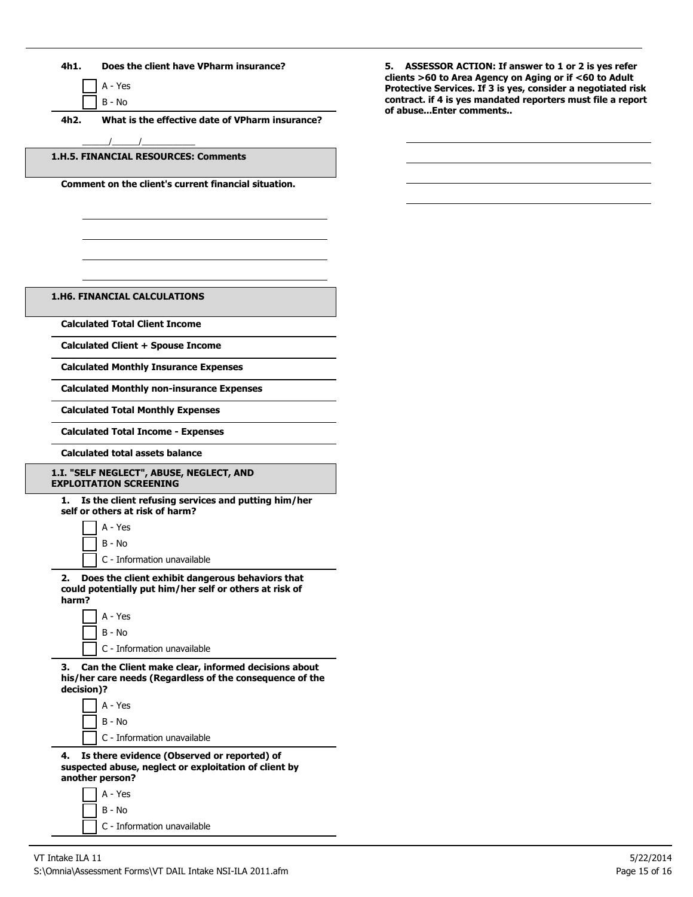

A - Yes B - No

**4h2. What is the effective date of VPharm insurance?**

**1.H.5. FINANCIAL RESOURCES: Comments**

 $\frac{1}{2}$   $\frac{1}{2}$   $\frac{1}{2}$   $\frac{1}{2}$   $\frac{1}{2}$   $\frac{1}{2}$   $\frac{1}{2}$   $\frac{1}{2}$   $\frac{1}{2}$   $\frac{1}{2}$   $\frac{1}{2}$   $\frac{1}{2}$   $\frac{1}{2}$   $\frac{1}{2}$   $\frac{1}{2}$   $\frac{1}{2}$   $\frac{1}{2}$   $\frac{1}{2}$   $\frac{1}{2}$   $\frac{1}{2}$   $\frac{1}{2}$   $\frac{1}{2}$ 

**Comment on the client's current financial situation.**

**5. ASSESSOR ACTION: If answer to 1 or 2 is yes refer clients >60 to Area Agency on Aging or if <60 to Adult Protective Services. If 3 is yes, consider a negotiated risk contract. if 4 is yes mandated reporters must file a report of abuse...Enter comments..**

**1.H6. FINANCIAL CALCULATIONS**

**Calculated Total Client Income**

**Calculated Client + Spouse Income**

**Calculated Monthly Insurance Expenses**

**Calculated Monthly non-insurance Expenses**

**Calculated Total Monthly Expenses**

**Calculated Total Income - Expenses**

**Calculated total assets balance**

## **1.I. "SELF NEGLECT", ABUSE, NEGLECT, AND EXPLOITATION SCREENING**

**1. Is the client refusing services and putting him/her self or others at risk of harm?**

A - Yes B - No

C - Information unavailable

**2. Does the client exhibit dangerous behaviors that could potentially put him/her self or others at risk of harm?**

A - Yes B - No C - Information unavailable

**3. Can the Client make clear, informed decisions about his/her care needs (Regardless of the consequence of the decision)?**

A - Yes B - No C - Information unavailable

**4. Is there evidence (Observed or reported) of suspected abuse, neglect or exploitation of client by another person?**

> A - Yes B - No C - Information unavailable